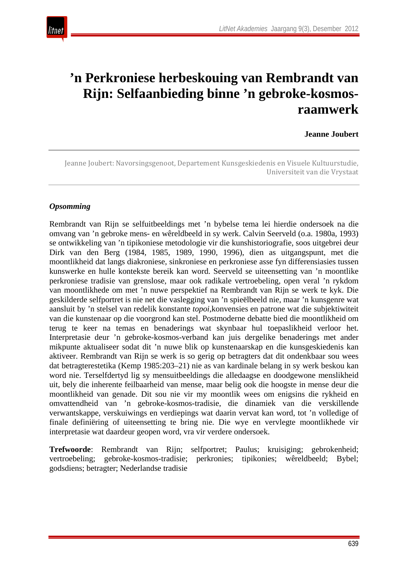

# **'n Perkroniese herbeskouing van Rembrandt van Rijn: Selfaanbieding binne 'n gebroke-kosmosraamwerk**

**Jeanne Joubert**

Jeanne Joubert: Navorsingsgenoot, Departement Kunsgeskiedenis en Visuele Kultuurstudie, Universiteit van die Vrystaat

#### *Opsomming*

Rembrandt van Rijn se selfuitbeeldings met 'n bybelse tema lei hierdie ondersoek na die omvang van 'n gebroke mens- en wêreldbeeld in sy werk. Calvin Seerveld (o.a. 1980a, 1993) se ontwikkeling van 'n tipikoniese metodologie vir die kunshistoriografie, soos uitgebrei deur Dirk van den Berg (1984, 1985, 1989, 1990, 1996), dien as uitgangspunt, met die moontlikheid dat langs diakroniese, sinkroniese en perkroniese asse fyn differensiasies tussen kunswerke en hulle kontekste bereik kan word. Seerveld se uiteensetting van 'n moontlike perkroniese tradisie van grenslose, maar ook radikale vertroebeling, open veral 'n rykdom van moontlikhede om met 'n nuwe perspektief na Rembrandt van Rijn se werk te kyk. Die geskilderde selfportret is nie net die vaslegging van 'n spieëlbeeld nie, maar 'n kunsgenre wat aansluit by 'n stelsel van redelik konstante *topoi*,konvensies en patrone wat die subjektiwiteit van die kunstenaar op die voorgrond kan stel. Postmoderne debatte bied die moontlikheid om terug te keer na temas en benaderings wat skynbaar hul toepaslikheid verloor het. Interpretasie deur 'n gebroke-kosmos-verband kan juis dergelike benaderings met ander mikpunte aktualiseer sodat dit 'n nuwe blik op kunstenaarskap en die kunsgeskiedenis kan aktiveer. Rembrandt van Rijn se werk is so gerig op betragters dat dit ondenkbaar sou wees dat betragterestetika (Kemp 1985:203–21) nie as van kardinale belang in sy werk beskou kan word nie. Terselfdertyd lig sy mensuitbeeldings die alledaagse en doodgewone menslikheid uit, bely die inherente feilbaarheid van mense, maar belig ook die hoogste in mense deur die moontlikheid van genade. Dit sou nie vir my moontlik wees om enigsins die rykheid en omvattendheid van 'n gebroke-kosmos-tradisie, die dinamiek van die verskillende verwantskappe, verskuiwings en verdiepings wat daarin vervat kan word, tot 'n volledige of finale definiëring of uiteensetting te bring nie. Die wye en vervlegte moontlikhede vir interpretasie wat daardeur geopen word, vra vir verdere ondersoek.

**Trefwoorde**: Rembrandt van Rijn; selfportret; Paulus; kruisiging; gebrokenheid; vertroebeling; gebroke-kosmos-tradisie; perkronies; tipikonies; wêreldbeeld; Bybel; godsdiens; betragter; Nederlandse tradisie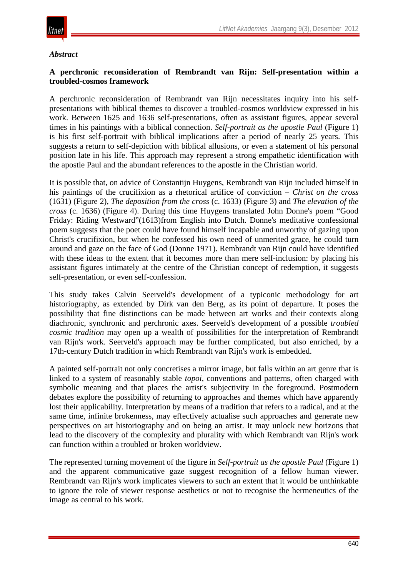

#### *Abstract*

#### **A perchronic reconsideration of Rembrandt van Rijn: Self-presentation within a troubled-cosmos framework**

A perchronic reconsideration of Rembrandt van Rijn necessitates inquiry into his selfpresentations with biblical themes to discover a troubled-cosmos worldview expressed in his work. Between 1625 and 1636 self-presentations, often as assistant figures, appear several times in his paintings with a biblical connection. *Self-portrait as the apostle Paul* (Figure 1) is his first self-portrait with biblical implications after a period of nearly 25 years. This suggests a return to self-depiction with biblical allusions, or even a statement of his personal position late in his life. This approach may represent a strong empathetic identification with the apostle Paul and the abundant references to the apostle in the Christian world.

It is possible that, on advice of Constantijn Huygens, Rembrandt van Rijn included himself in his paintings of the crucifixion as a rhetorical artifice of conviction – *Christ on the cross*  (1631) (Figure 2), *The deposition from the cross* (c. 1633) (Figure 3) and *The elevation of the cross* (c. 1636) (Figure 4). During this time Huygens translated John Donne's poem "Good Friday: Riding Westward"(1613)from English into Dutch. Donne's meditative confessional poem suggests that the poet could have found himself incapable and unworthy of gazing upon Christ's crucifixion, but when he confessed his own need of unmerited grace, he could turn around and gaze on the face of God (Donne 1971). Rembrandt van Rijn could have identified with these ideas to the extent that it becomes more than mere self-inclusion: by placing his assistant figures intimately at the centre of the Christian concept of redemption, it suggests self-presentation, or even self-confession.

This study takes Calvin Seerveld's development of a typiconic methodology for art historiography, as extended by Dirk van den Berg, as its point of departure. It poses the possibility that fine distinctions can be made between art works and their contexts along diachronic, synchronic and perchronic axes. Seerveld's development of a possible *troubled cosmic tradition* may open up a wealth of possibilities for the interpretation of Rembrandt van Rijn's work. Seerveld's approach may be further complicated, but also enriched, by a 17th-century Dutch tradition in which Rembrandt van Rijn's work is embedded.

A painted self-portrait not only concretises a mirror image, but falls within an art genre that is linked to a system of reasonably stable *topoi*, conventions and patterns, often charged with symbolic meaning and that places the artist's subjectivity in the foreground. Postmodern debates explore the possibility of returning to approaches and themes which have apparently lost their applicability. Interpretation by means of a tradition that refers to a radical, and at the same time, infinite brokenness, may effectively actualise such approaches and generate new perspectives on art historiography and on being an artist. It may unlock new horizons that lead to the discovery of the complexity and plurality with which Rembrandt van Rijn's work can function within a troubled or broken worldview.

The represented turning movement of the figure in *Self-portrait as the apostle Paul* (Figure 1) and the apparent communicative gaze suggest recognition of a fellow human viewer. Rembrandt van Rijn's work implicates viewers to such an extent that it would be unthinkable to ignore the role of viewer response aesthetics or not to recognise the hermeneutics of the image as central to his work.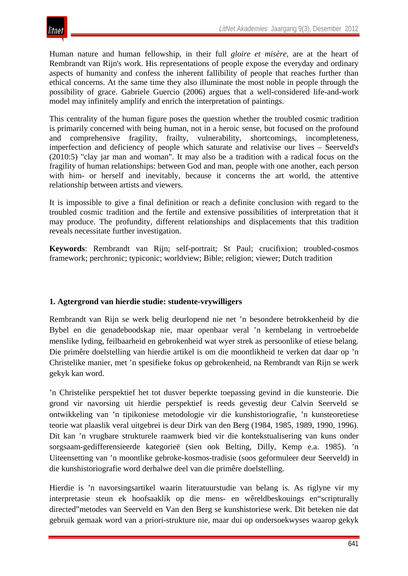Human nature and human fellowship, in their full *gloire et misère*, are at the heart of Rembrandt van Rijn's work. His representations of people expose the everyday and ordinary aspects of humanity and confess the inherent fallibility of people that reaches further than ethical concerns. At the same time they also illuminate the most noble in people through the possibility of grace. Gabriele Guercio (2006) argues that a well-considered life-and-work model may infinitely amplify and enrich the interpretation of paintings.

This centrality of the human figure poses the question whether the troubled cosmic tradition is primarily concerned with being human, not in a heroic sense, but focused on the profound and comprehensive fragility, frailty, vulnerability, shortcomings, incompleteness, imperfection and deficiency of people which saturate and relativise our lives – Seerveld's (2010:5) "clay jar man and woman". It may also be a tradition with a radical focus on the fragility of human relationships: between God and man, people with one another, each person with him- or herself and inevitably, because it concerns the art world, the attentive relationship between artists and viewers.

It is impossible to give a final definition or reach a definite conclusion with regard to the troubled cosmic tradition and the fertile and extensive possibilities of interpretation that it may produce. The profundity, different relationships and displacements that this tradition reveals necessitate further investigation.

**Keywords**: Rembrandt van Rijn; self-portrait; St Paul; crucifixion; troubled-cosmos framework; perchronic; typiconic; worldview; Bible; religion; viewer; Dutch tradition

# **1. Agtergrond van hierdie studie: studente-vrywilligers**

Rembrandt van Rijn se werk belig deurlopend nie net 'n besondere betrokkenheid by die Bybel en die genadeboodskap nie, maar openbaar veral 'n kernbelang in vertroebelde menslike lyding, feilbaarheid en gebrokenheid wat wyer strek as persoonlike of etiese belang. Die primêre doelstelling van hierdie artikel is om die moontlikheid te verken dat daar op 'n Christelike manier, met 'n spesifieke fokus op gebrokenheid, na Rembrandt van Rijn se werk gekyk kan word.

'n Christelike perspektief het tot dusver beperkte toepassing gevind in die kunsteorie. Die grond vir navorsing uit hierdie perspektief is reeds gevestig deur Calvin Seerveld se ontwikkeling van 'n tipikoniese metodologie vir die kunshistoriografie, 'n kunsteoretiese teorie wat plaaslik veral uitgebrei is deur Dirk van den Berg (1984, 1985, 1989, 1990, 1996). Dit kan 'n vrugbare strukturele raamwerk bied vir die kontekstualisering van kuns onder sorgsaam-gedifferensieerde kategorieë (sien ook Belting, Dilly, Kemp e.a. 1985). 'n Uiteensetting van 'n moontlike gebroke-kosmos-tradisie (soos geformuleer deur Seerveld) in die kunshistoriografie word derhalwe deel van die primêre doelstelling.

Hierdie is 'n navorsingsartikel waarin literatuurstudie van belang is. As riglyne vir my interpretasie steun ek hoofsaaklik op die mens- en wêreldbeskouings en"scripturally directed"metodes van Seerveld en Van den Berg se kunshistoriese werk. Dit beteken nie dat gebruik gemaak word van a priori-strukture nie, maar dui op ondersoekwyses waarop gekyk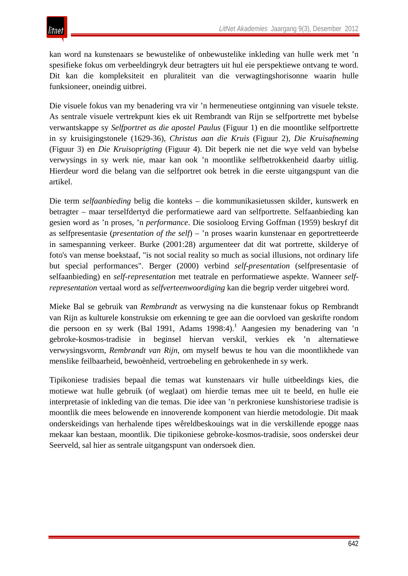kan word na kunstenaars se bewustelike of onbewustelike inkleding van hulle werk met 'n spesifieke fokus om verbeeldingryk deur betragters uit hul eie perspektiewe ontvang te word. Dit kan die kompleksiteit en pluraliteit van die verwagtingshorisonne waarin hulle funksioneer, oneindig uitbrei.

Die visuele fokus van my benadering vra vir 'n hermeneutiese ontginning van visuele tekste. As sentrale visuele vertrekpunt kies ek uit Rembrandt van Rijn se selfportrette met bybelse verwantskappe sy *Selfportret as die apostel Paulus* (Figuur 1) en die moontlike selfportrette in sy kruisigingstonele (1629-36), *Christus aan die Kruis* (Figuur 2), *Die Kruisafneming* (Figuur 3) en *Die Kruisoprigting* (Figuur 4). Dit beperk nie net die wye veld van bybelse verwysings in sy werk nie, maar kan ook 'n moontlike selfbetrokkenheid daarby uitlig. Hierdeur word die belang van die selfportret ook betrek in die eerste uitgangspunt van die artikel.

Die term *selfaanbieding* belig die konteks – die kommunikasietussen skilder, kunswerk en betragter – maar terselfdertyd die performatiewe aard van selfportrette. Selfaanbieding kan gesien word as 'n proses, 'n *performance*. Die sosioloog Erving Goffman (1959) beskryf dit as selfpresentasie (*presentation of the self*) – 'n proses waarin kunstenaar en geportretteerde in samespanning verkeer. Burke (2001:28) argumenteer dat dit wat portrette, skilderye of foto's van mense boekstaaf, "is not social reality so much as social illusions, not ordinary life but special performances". Berger (2000) verbind *self-presentation* (selfpresentasie of selfaanbieding) en *self-representation* met teatrale en performatiewe aspekte. Wanneer *selfrepresentation* vertaal word as *selfverteenwoordiging* kan die begrip verder uitgebrei word.

Mieke Bal se gebruik van *Rembrandt* as verwysing na die kunstenaar fokus op Rembrandt van Rijn as kulturele konstruksie om erkenning te gee aan die oorvloed van geskrifte rondom die persoon en sy werk (Bal 1991, Adams 1998:4).<sup>1</sup> Aangesien my benadering van 'n gebroke-kosmos-tradisie in beginsel hiervan verskil, verkies ek 'n alternatiewe verwysingsvorm, *Rembrandt van Rijn*, om myself bewus te hou van die moontlikhede van menslike feilbaarheid, bewoënheid, vertroebeling en gebrokenhede in sy werk.

Tipikoniese tradisies bepaal die temas wat kunstenaars vir hulle uitbeeldings kies, die motiewe wat hulle gebruik (of weglaat) om hierdie temas mee uit te beeld, en hulle eie interpretasie of inkleding van die temas. Die idee van 'n perkroniese kunshistoriese tradisie is moontlik die mees belowende en innoverende komponent van hierdie metodologie. Dit maak onderskeidings van herhalende tipes wêreldbeskouings wat in die verskillende epogge naas mekaar kan bestaan, moontlik. Die tipikoniese gebroke-kosmos-tradisie, soos onderskei deur Seerveld, sal hier as sentrale uitgangspunt van ondersoek dien.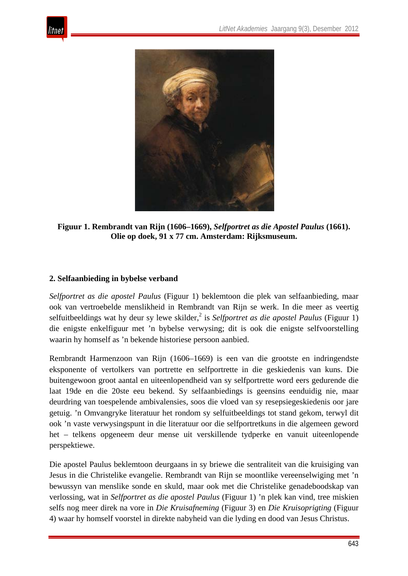



**Figuur 1. Rembrandt van Rijn (1606–1669),** *Selfportret as die Apostel Paulus* **(1661). Olie op doek, 91 x 77 cm. Amsterdam: Rijksmuseum.** 

# **2. Selfaanbieding in bybelse verband**

*Selfportret as die apostel Paulus* (Figuur 1) beklemtoon die plek van selfaanbieding, maar ook van vertroebelde menslikheid in Rembrandt van Rijn se werk. In die meer as veertig selfuitbeeldings wat hy deur sy lewe skilder,<sup>2</sup> is *Selfportret as die apostel Paulus* (Figuur 1) die enigste enkelfiguur met 'n bybelse verwysing; dit is ook die enigste selfvoorstelling waarin hy homself as 'n bekende historiese persoon aanbied.

Rembrandt Harmenzoon van Rijn (1606–1669) is een van die grootste en indringendste eksponente of vertolkers van portrette en selfportrette in die geskiedenis van kuns. Die buitengewoon groot aantal en uiteenlopendheid van sy selfportrette word eers gedurende die laat 19de en die 20ste eeu bekend. Sy selfaanbiedings is geensins eenduidig nie, maar deurdring van toespelende ambivalensies, soos die vloed van sy resepsiegeskiedenis oor jare getuig. 'n Omvangryke literatuur het rondom sy selfuitbeeldings tot stand gekom, terwyl dit ook 'n vaste verwysingspunt in die literatuur oor die selfportretkuns in die algemeen geword het – telkens opgeneem deur mense uit verskillende tydperke en vanuit uiteenlopende perspektiewe.

Die apostel Paulus beklemtoon deurgaans in sy briewe die sentraliteit van die kruisiging van Jesus in die Christelike evangelie. Rembrandt van Rijn se moontlike vereenselwiging met 'n bewussyn van menslike sonde en skuld, maar ook met die Christelike genadeboodskap van verlossing, wat in *Selfportret as die apostel Paulus* (Figuur 1) 'n plek kan vind, tree miskien selfs nog meer direk na vore in *Die Kruisafneming* (Figuur 3) en *Die Kruisoprigting* (Figuur 4) waar hy homself voorstel in direkte nabyheid van die lyding en dood van Jesus Christus.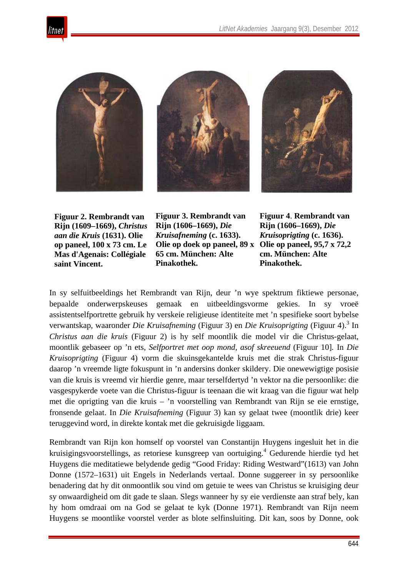







**Figuur 2. Rembrandt van Rijn (1609–1669),** *Christus aan die Kruis* **(1631). Olie op paneel, 100 x 73 cm. Le Mas d'Agenais: Collégiale saint Vincent.** 

**Figuur 3. Rembrandt van Rijn (1606–1669),** *Die Kruisafneming* **(c. 1633). Olie op doek op paneel, 89 x 65 cm. München: Alte Pinakothek.**

**Figuur 4**. **Rembrandt van Rijn (1606–1669),** *Die Kruisoprigting* **(c. 1636). Olie op paneel, 95,7 x 72,2 cm. München: Alte Pinakothek.** 

In sy selfuitbeeldings het Rembrandt van Rijn, deur 'n wye spektrum fiktiewe personae, bepaalde onderwerpskeuses gemaak en uitbeeldingsvorme gekies. In sy vroeë assistentselfportrette gebruik hy verskeie religieuse identiteite met 'n spesifieke soort bybelse verwantskap, waaronder *Die Kruisafneming* (Figuur 3) en *Die Kruisoprigting* (Figuur 4).3 In *Christus aan die kruis* (Figuur 2) is hy self moontlik die model vir die Christus-gelaat, moontlik gebaseer op 'n ets, *Selfportret met oop mond, asof skreeuend* (Figuur 10]*.* In *Die Kruisoprigting* (Figuur 4) vorm die skuinsgekantelde kruis met die strak Christus-figuur daarop 'n vreemde ligte fokuspunt in 'n andersins donker skildery. Die onewewigtige posisie van die kruis is vreemd vir hierdie genre, maar terselfdertyd 'n vektor na die persoonlike: die vasgespykerde voete van die Christus-figuur is teenaan die wit kraag van die figuur wat help met die oprigting van die kruis – 'n voorstelling van Rembrandt van Rijn se eie ernstige, fronsende gelaat. In *Die Kruisafneming* (Figuur 3) kan sy gelaat twee (moontlik drie) keer teruggevind word, in direkte kontak met die gekruisigde liggaam.

Rembrandt van Rijn kon homself op voorstel van Constantijn Huygens ingesluit het in die kruisigingsvoorstellings, as retoriese kunsgreep van oortuiging.<sup>4</sup> Gedurende hierdie tyd het Huygens die meditatiewe belydende gedig "Good Friday: Riding Westward"(1613) van John Donne (1572–1631) uit Engels in Nederlands vertaal. Donne suggereer in sy persoonlike benadering dat hy dit onmoontlik sou vind om getuie te wees van Christus se kruisiging deur sy onwaardigheid om dit gade te slaan. Slegs wanneer hy sy eie verdienste aan straf bely, kan hy hom omdraai om na God se gelaat te kyk (Donne 1971). Rembrandt van Rijn neem Huygens se moontlike voorstel verder as blote selfinsluiting. Dit kan, soos by Donne, ook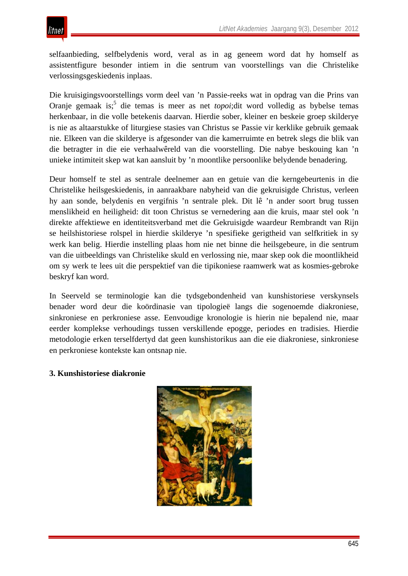selfaanbieding, selfbelydenis word, veral as in ag geneem word dat hy homself as assistentfigure besonder intiem in die sentrum van voorstellings van die Christelike verlossingsgeskiedenis inplaas.

Die kruisigingsvoorstellings vorm deel van 'n Passie-reeks wat in opdrag van die Prins van Oranje gemaak is;<sup>5</sup> die temas is meer as net *topoi*;dit word volledig as bybelse temas herkenbaar, in die volle betekenis daarvan. Hierdie sober, kleiner en beskeie groep skilderye is nie as altaarstukke of liturgiese stasies van Christus se Passie vir kerklike gebruik gemaak nie. Elkeen van die skilderye is afgesonder van die kamerruimte en betrek slegs die blik van die betragter in die eie verhaalwêreld van die voorstelling. Die nabye beskouing kan 'n unieke intimiteit skep wat kan aansluit by 'n moontlike persoonlike belydende benadering.

Deur homself te stel as sentrale deelnemer aan en getuie van die kerngebeurtenis in die Christelike heilsgeskiedenis, in aanraakbare nabyheid van die gekruisigde Christus, verleen hy aan sonde, belydenis en vergifnis 'n sentrale plek. Dit lê 'n ander soort brug tussen menslikheid en heiligheid: dit toon Christus se vernedering aan die kruis, maar stel ook 'n direkte affektiewe en identiteitsverband met die Gekruisigde waardeur Rembrandt van Rijn se heilshistoriese rolspel in hierdie skilderye 'n spesifieke gerigtheid van selfkritiek in sy werk kan belig. Hierdie instelling plaas hom nie net binne die heilsgebeure, in die sentrum van die uitbeeldings van Christelike skuld en verlossing nie, maar skep ook die moontlikheid om sy werk te lees uit die perspektief van die tipikoniese raamwerk wat as kosmies-gebroke beskryf kan word.

In Seerveld se terminologie kan die tydsgebondenheid van kunshistoriese verskynsels benader word deur die koördinasie van tipologieë langs die sogenoemde diakroniese, sinkroniese en perkroniese asse. Eenvoudige kronologie is hierin nie bepalend nie, maar eerder komplekse verhoudings tussen verskillende epogge, periodes en tradisies. Hierdie metodologie erken terselfdertyd dat geen kunshistorikus aan die eie diakroniese, sinkroniese en perkroniese kontekste kan ontsnap nie.

#### **3. Kunshistoriese diakronie**

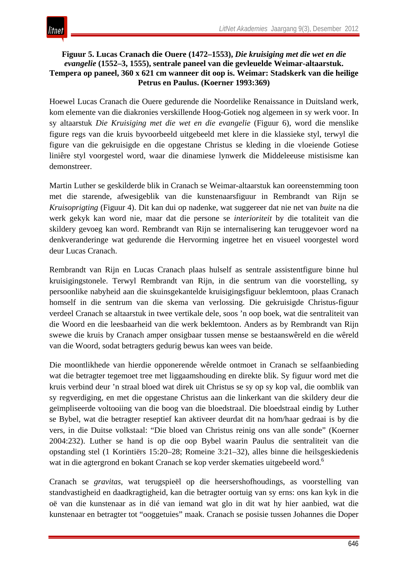

#### **Figuur 5. Lucas Cranach die Ouere (1472–1553),** *Die kruisiging met die wet en die evangelie* **(1552–3, 1555), sentrale paneel van die gevleuelde Weimar-altaarstuk. Tempera op paneel, 360 x 621 cm wanneer dit oop is. Weimar: Stadskerk van die heilige Petrus en Paulus. (Koerner 1993:369)**

Hoewel Lucas Cranach die Ouere gedurende die Noordelike Renaissance in Duitsland werk, kom elemente van die diakronies verskillende Hoog-Gotiek nog algemeen in sy werk voor. In sy altaarstuk *Die Kruisiging met die wet en die evangelie* (Figuur 6), word die menslike figure regs van die kruis byvoorbeeld uitgebeeld met klere in die klassieke styl, terwyl die figure van die gekruisigde en die opgestane Christus se kleding in die vloeiende Gotiese liniêre styl voorgestel word, waar die dinamiese lynwerk die Middeleeuse mistisisme kan demonstreer.

Martin Luther se geskilderde blik in Cranach se Weimar-altaarstuk kan ooreenstemming toon met die starende, afwesigeblik van die kunstenaarsfiguur in Rembrandt van Rijn se *Kruisoprigting* (Figuur 4). Dit kan dui op nadenke, wat suggereer dat nie net van *buite* na die werk gekyk kan word nie, maar dat die persone se *interioriteit* by die totaliteit van die skildery gevoeg kan word. Rembrandt van Rijn se internalisering kan teruggevoer word na denkveranderinge wat gedurende die Hervorming ingetree het en visueel voorgestel word deur Lucas Cranach.

Rembrandt van Rijn en Lucas Cranach plaas hulself as sentrale assistentfigure binne hul kruisigingstonele. Terwyl Rembrandt van Rijn, in die sentrum van die voorstelling, sy persoonlike nabyheid aan die skuinsgekantelde kruisigingsfiguur beklemtoon, plaas Cranach homself in die sentrum van die skema van verlossing. Die gekruisigde Christus-figuur verdeel Cranach se altaarstuk in twee vertikale dele, soos 'n oop boek, wat die sentraliteit van die Woord en die leesbaarheid van die werk beklemtoon. Anders as by Rembrandt van Rijn swewe die kruis by Cranach amper onsigbaar tussen mense se bestaanswêreld en die wêreld van die Woord, sodat betragters gedurig bewus kan wees van beide.

Die moontlikhede van hierdie opponerende wêrelde ontmoet in Cranach se selfaanbieding wat die betragter tegemoet tree met liggaamshouding en direkte blik. Sy figuur word met die kruis verbind deur 'n straal bloed wat direk uit Christus se sy op sy kop val, die oomblik van sy regverdiging, en met die opgestane Christus aan die linkerkant van die skildery deur die geïmpliseerde voltooiing van die boog van die bloedstraal. Die bloedstraal eindig by Luther se Bybel, wat die betragter reseptief kan aktiveer deurdat dit na hom/haar gedraai is by die vers, in die Duitse volkstaal: "Die bloed van Christus reinig ons van alle sonde" (Koerner 2004:232). Luther se hand is op die oop Bybel waarin Paulus die sentraliteit van die opstanding stel (1 Korintiërs 15:20–28; Romeine 3:21–32), alles binne die heilsgeskiedenis wat in die agtergrond en bokant Cranach se kop verder skematies uitgebeeld word.<sup>6</sup>

Cranach se *gravitas*, wat terugspieël op die heersershofhoudings, as voorstelling van standvastigheid en daadkragtigheid, kan die betragter oortuig van sy erns: ons kan kyk in die oë van die kunstenaar as in dié van iemand wat glo in dit wat hy hier aanbied, wat die kunstenaar en betragter tot "ooggetuies" maak. Cranach se posisie tussen Johannes die Doper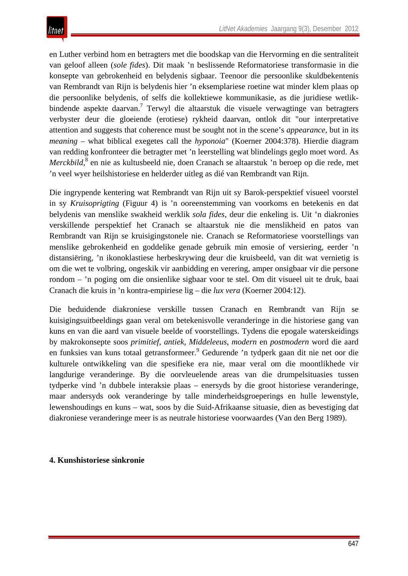en Luther verbind hom en betragters met die boodskap van die Hervorming en die sentraliteit van geloof alleen (*sole fides*). Dit maak 'n beslissende Reformatoriese transformasie in die konsepte van gebrokenheid en belydenis sigbaar. Teenoor die persoonlike skuldbekentenis van Rembrandt van Rijn is belydenis hier 'n eksemplariese roetine wat minder klem plaas op die persoonlike belydenis, of selfs die kollektiewe kommunikasie, as die juridiese wetlikbindende aspekte daarvan.<sup>7</sup> Terwyl die altaarstuk die visuele verwagtinge van betragters verbyster deur die gloeiende (erotiese) rykheid daarvan, ontlok dit "our interpretative attention and suggests that coherence must be sought not in the scene's *appearance,* but in its *meaning* – what biblical exegetes call the *hyponoia*" (Koerner 2004:378)*.* Hierdie diagram van redding konfronteer die betragter met 'n leerstelling wat blindelings geglo moet word. As *Merckbild*, <sup>8</sup> en nie as kultusbeeld nie, doen Cranach se altaarstuk 'n beroep op die rede, met 'n veel wyer heilshistoriese en helderder uitleg as dié van Rembrandt van Rijn.

Die ingrypende kentering wat Rembrandt van Rijn uit sy Barok-perspektief visueel voorstel in sy *Kruisoprigting* (Figuur 4) is 'n ooreenstemming van voorkoms en betekenis en dat belydenis van menslike swakheid werklik *sola fides*, deur die enkeling is. Uit 'n diakronies verskillende perspektief het Cranach se altaarstuk nie die menslikheid en patos van Rembrandt van Rijn se kruisigingstonele nie. Cranach se Reformatoriese voorstellings van menslike gebrokenheid en goddelike genade gebruik min emosie of versiering, eerder 'n distansiëring, 'n ikonoklastiese herbeskrywing deur die kruisbeeld, van dit wat vernietig is om die wet te volbring, ongeskik vir aanbidding en verering, amper onsigbaar vir die persone rondom – 'n poging om die onsienlike sigbaar voor te stel. Om dit visueel uit te druk, baai Cranach die kruis in 'n kontra-empiriese lig – die *lux vera* (Koerner 2004:12).

Die beduidende diakroniese verskille tussen Cranach en Rembrandt van Rijn se kuisigingsuitbeeldings gaan veral om betekenisvolle veranderinge in die historiese gang van kuns en van die aard van visuele beelde of voorstellings. Tydens die epogale waterskeidings by makrokonsepte soos *primitief*, *antiek*, *Middeleeus*, *modern* en *postmodern* word die aard en funksies van kuns totaal getransformeer.<sup>9</sup> Gedurende 'n tydperk gaan dit nie net oor die kulturele ontwikkeling van die spesifieke era nie, maar veral om die moontlikhede vir langdurige veranderinge. By die oorvleuelende areas van die drumpelsituasies tussen tydperke vind 'n dubbele interaksie plaas – enersyds by die groot historiese veranderinge, maar andersyds ook veranderinge by talle minderheidsgroeperings en hulle lewenstyle, lewenshoudings en kuns – wat, soos by die Suid-Afrikaanse situasie, dien as bevestiging dat diakroniese veranderinge meer is as neutrale historiese voorwaardes (Van den Berg 1989).

#### **4. Kunshistoriese sinkronie**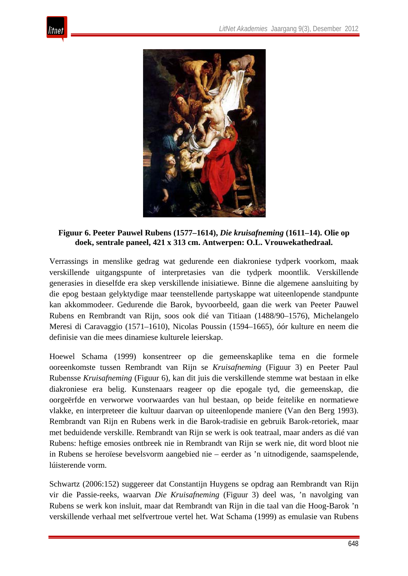



**Figuur 6. Peeter Pauwel Rubens (1577–1614),** *Die kruisafneming* **(1611–14). Olie op doek, sentrale paneel, 421 x 313 cm. Antwerpen: O.L. Vrouwekathedraal.** 

Verrassings in menslike gedrag wat gedurende een diakroniese tydperk voorkom, maak verskillende uitgangspunte of interpretasies van die tydperk moontlik. Verskillende generasies in dieselfde era skep verskillende inisiatiewe. Binne die algemene aansluiting by die epog bestaan gelyktydige maar teenstellende partyskappe wat uiteenlopende standpunte kan akkommodeer. Gedurende die Barok, byvoorbeeld, gaan die werk van Peeter Pauwel Rubens en Rembrandt van Rijn, soos ook dié van Titiaan (1488/90–1576), Michelangelo Meresi di Caravaggio (1571–1610), Nicolas Poussin (1594–1665), óór kulture en neem die definisie van die mees dinamiese kulturele leierskap.

Hoewel Schama (1999) konsentreer op die gemeenskaplike tema en die formele ooreenkomste tussen Rembrandt van Rijn se *Kruisafneming* (Figuur 3) en Peeter Paul Rubensse *Kruisafneming* (Figuur 6), kan dit juis die verskillende stemme wat bestaan in elke diakroniese era belig. Kunstenaars reageer op die epogale tyd, die gemeenskap, die oorgeërfde en verworwe voorwaardes van hul bestaan, op beide feitelike en normatiewe vlakke, en interpreteer die kultuur daarvan op uiteenlopende maniere (Van den Berg 1993). Rembrandt van Rijn en Rubens werk in die Barok-tradisie en gebruik Barok-retoriek, maar met beduidende verskille. Rembrandt van Rijn se werk is ook teatraal, maar anders as dié van Rubens: heftige emosies ontbreek nie in Rembrandt van Rijn se werk nie, dit word bloot nie in Rubens se heroïese bevelsvorm aangebied nie – eerder as 'n uitnodigende, saamspelende, lúisterende vorm.

Schwartz (2006:152) suggereer dat Constantijn Huygens se opdrag aan Rembrandt van Rijn vir die Passie-reeks, waarvan *Die Kruisafneming* (Figuur 3) deel was, 'n navolging van Rubens se werk kon insluit, maar dat Rembrandt van Rijn in die taal van die Hoog-Barok 'n verskillende verhaal met selfvertroue vertel het. Wat Schama (1999) as emulasie van Rubens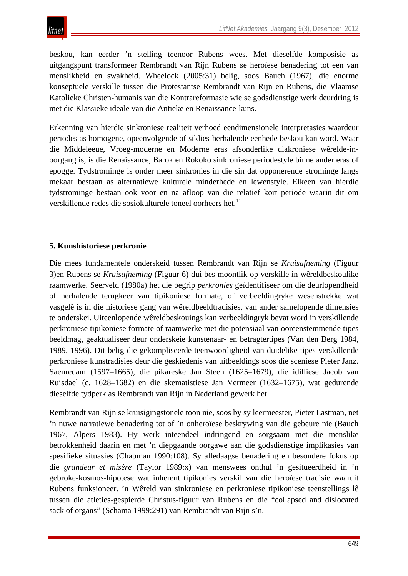beskou, kan eerder 'n stelling teenoor Rubens wees. Met dieselfde komposisie as uitgangspunt transformeer Rembrandt van Rijn Rubens se heroïese benadering tot een van menslikheid en swakheid. Wheelock (2005:31) belig, soos Bauch (1967), die enorme konseptuele verskille tussen die Protestantse Rembrandt van Rijn en Rubens, die Vlaamse Katolieke Christen-humanis van die Kontrareformasie wie se godsdienstige werk deurdring is met die Klassieke ideale van die Antieke en Renaissance-kuns.

Erkenning van hierdie sinkroniese realiteit verhoed eendimensionele interpretasies waardeur periodes as homogene, opeenvolgende of siklies-herhalende eenhede beskou kan word. Waar die Middeleeue, Vroeg-moderne en Moderne eras afsonderlike diakroniese wêrelde-inoorgang is, is die Renaissance, Barok en Rokoko sinkroniese periodestyle binne ander eras of epogge. Tydstrominge is onder meer sinkronies in die sin dat opponerende strominge langs mekaar bestaan as alternatiewe kulturele minderhede en lewenstyle. Elkeen van hierdie tydstrominge bestaan ook voor en na afloop van die relatief kort periode waarin dit om verskillende redes die sosiokulturele toneel oorheers het.<sup>11</sup>

# **5. Kunshistoriese perkronie**

Die mees fundamentele onderskeid tussen Rembrandt van Rijn se *Kruisafneming* (Figuur 3)en Rubens se *Kruisafneming* (Figuur 6) dui bes moontlik op verskille in wêreldbeskoulike raamwerke. Seerveld (1980a) het die begrip *perkronies* geïdentifiseer om die deurlopendheid of herhalende terugkeer van tipikoniese formate, of verbeeldingryke wesenstrekke wat vasgelê is in die historiese gang van wêreldbeeldtradisies, van ander samelopende dimensies te onderskei. Uiteenlopende wêreldbeskouings kan verbeeldingryk bevat word in verskillende perkroniese tipikoniese formate of raamwerke met die potensiaal van ooreenstemmende tipes beeldmag, geaktualiseer deur onderskeie kunstenaar- en betragtertipes (Van den Berg 1984, 1989, 1996). Dit belig die gekompliseerde teenwoordigheid van duidelike tipes verskillende perkroniese kunstradisies deur die geskiedenis van uitbeeldings soos die sceniese Pieter Janz. Saenredam (1597–1665), die pikareske Jan Steen (1625–1679), die idilliese Jacob van Ruisdael (c. 1628–1682) en die skematistiese Jan Vermeer (1632–1675), wat gedurende dieselfde tydperk as Rembrandt van Rijn in Nederland gewerk het.

Rembrandt van Rijn se kruisigingstonele toon nie, soos by sy leermeester, Pieter Lastman, net 'n nuwe narratiewe benadering tot of 'n onheroïese beskrywing van die gebeure nie (Bauch 1967, Alpers 1983). Hy werk inteendeel indringend en sorgsaam met die menslike betrokkenheid daarin en met 'n diepgaande oorgawe aan die godsdienstige implikasies van spesifieke situasies (Chapman 1990:108). Sy alledaagse benadering en besondere fokus op die *grandeur et misère* (Taylor 1989:x) van menswees onthul 'n gesitueerdheid in 'n gebroke-kosmos-hipotese wat inherent tipikonies verskil van die heroïese tradisie waaruit Rubens funksioneer. 'n Wêreld van sinkroniese en perkroniese tipikoniese teenstellings lê tussen die atleties-gespierde Christus-figuur van Rubens en die "collapsed and dislocated sack of organs" (Schama 1999:291) van Rembrandt van Rijn s'n.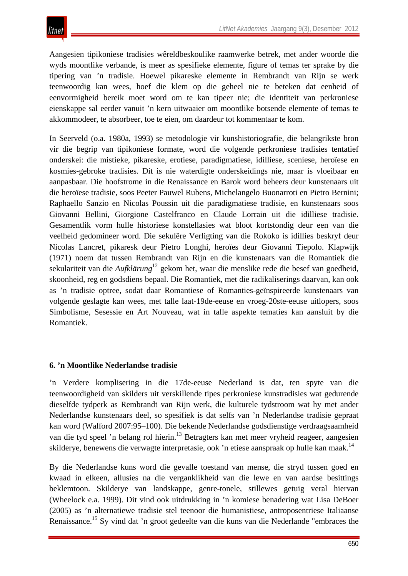Aangesien tipikoniese tradisies wêreldbeskoulike raamwerke betrek, met ander woorde die wyds moontlike verbande, is meer as spesifieke elemente, figure of temas ter sprake by die tipering van 'n tradisie. Hoewel pikareske elemente in Rembrandt van Rijn se werk teenwoordig kan wees, hoef die klem op die geheel nie te beteken dat eenheid of eenvormigheid bereik moet word om te kan tipeer nie; die identiteit van perkroniese eienskappe sal eerder vanuit 'n kern uitwaaier om moontlike botsende elemente of temas te akkommodeer, te absorbeer, toe te eien, om daardeur tot kommentaar te kom.

In Seerveld (o.a. 1980a, 1993) se metodologie vir kunshistoriografie, die belangrikste bron vir die begrip van tipikoniese formate, word die volgende perkroniese tradisies tentatief onderskei: die mistieke, pikareske, erotiese, paradigmatiese, idilliese, sceniese, heroïese en kosmies-gebroke tradisies. Dit is nie waterdigte onderskeidings nie, maar is vloeibaar en aanpasbaar. Die hoofstrome in die Renaissance en Barok word beheers deur kunstenaars uit die heroïese tradisie, soos Peeter Pauwel Rubens, Michelangelo Buonarroti en Pietro Bernini; Raphaello Sanzio en Nicolas Poussin uit die paradigmatiese tradisie, en kunstenaars soos Giovanni Bellini, Giorgione Castelfranco en Claude Lorrain uit die idilliese tradisie. Gesamentlik vorm hulle historiese konstellasies wat bloot kortstondig deur een van die veelheid gedomineer word. Die sekulêre Verligting van die Rokoko is idillies beskryf deur Nicolas Lancret, pikaresk deur Pietro Longhi, heroïes deur Giovanni Tiepolo. Klapwijk (1971) noem dat tussen Rembrandt van Rijn en die kunstenaars van die Romantiek die sekulariteit van die *Aufklärung*<sup>12</sup> gekom het, waar die menslike rede die besef van goedheid, skoonheid, reg en godsdiens bepaal. Die Romantiek, met die radikaliserings daarvan, kan ook as 'n tradisie optree, sodat daar Romantiese of Romanties-geïnspireerde kunstenaars van volgende geslagte kan wees, met talle laat-19de-eeuse en vroeg-20ste-eeuse uitlopers, soos Simbolisme, Sesessie en Art Nouveau, wat in talle aspekte tematies kan aansluit by die Romantiek.

#### **6. 'n Moontlike Nederlandse tradisie**

'n Verdere komplisering in die 17de-eeuse Nederland is dat, ten spyte van die teenwoordigheid van skilders uit verskillende tipes perkroniese kunstradisies wat gedurende dieselfde tydperk as Rembrandt van Rijn werk, die kulturele tydstroom wat hy met ander Nederlandse kunstenaars deel, so spesifiek is dat selfs van 'n Nederlandse tradisie gepraat kan word (Walford 2007:95–100). Die bekende Nederlandse godsdienstige verdraagsaamheid van die tyd speel 'n belang rol hierin.<sup>13</sup> Betragters kan met meer vryheid reageer, aangesien skilderye, benewens die verwagte interpretasie, ook 'n etiese aanspraak op hulle kan maak.<sup>14</sup>

By die Nederlandse kuns word die gevalle toestand van mense, die stryd tussen goed en kwaad in elkeen, allusies na die verganklikheid van die lewe en van aardse besittings beklemtoon. Skilderye van landskappe, genre-tonele, stillewes getuig veral hiervan (Wheelock e.a. 1999). Dit vind ook uitdrukking in 'n komiese benadering wat Lisa DeBoer (2005) as 'n alternatiewe tradisie stel teenoor die humanistiese, antroposentriese Italiaanse Renaissance.<sup>15</sup> Sy vind dat 'n groot gedeelte van die kuns van die Nederlande "embraces the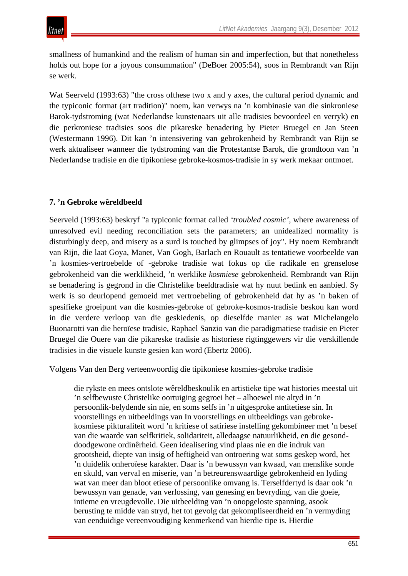smallness of humankind and the realism of human sin and imperfection, but that nonetheless holds out hope for a joyous consummation" (DeBoer 2005:54), soos in Rembrandt van Rijn se werk.

Wat Seerveld (1993:63) "the cross of these two x and y axes, the cultural period dynamic and the typiconic format (art tradition)" noem, kan verwys na 'n kombinasie van die sinkroniese Barok-tydstroming (wat Nederlandse kunstenaars uit alle tradisies bevoordeel en verryk) en die perkroniese tradisies soos die pikareske benadering by Pieter Bruegel en Jan Steen (Westermann 1996). Dit kan 'n intensivering van gebrokenheid by Rembrandt van Rijn se werk aktualiseer wanneer die tydstroming van die Protestantse Barok, die grondtoon van 'n Nederlandse tradisie en die tipikoniese gebroke-kosmos-tradisie in sy werk mekaar ontmoet.

# **7. 'n Gebroke wêreldbeeld**

Seerveld (1993:63) beskryf "a typiconic format called *'troubled cosmic',* where awareness of unresolved evil needing reconciliation sets the parameters; an unidealized normality is disturbingly deep, and misery as a surd is touched by glimpses of joy". Hy noem Rembrandt van Rijn, die laat Goya, Manet, Van Gogh, Barlach en Rouault as tentatiewe voorbeelde van 'n kosmies-vertroebelde of -gebroke tradisie wat fokus op die radikale en grenselose gebrokenheid van die werklikheid, 'n werklike *kosmiese* gebrokenheid. Rembrandt van Rijn se benadering is gegrond in die Christelike beeldtradisie wat hy nuut bedink en aanbied. Sy werk is so deurlopend gemoeid met vertroebeling of gebrokenheid dat hy as 'n baken of spesifieke groeipunt van die kosmies-gebroke of gebroke-kosmos-tradisie beskou kan word in die verdere verloop van die geskiedenis, op dieselfde manier as wat Michelangelo Buonarotti van die heroïese tradisie, Raphael Sanzio van die paradigmatiese tradisie en Pieter Bruegel die Ouere van die pikareske tradisie as historiese rigtinggewers vir die verskillende tradisies in die visuele kunste gesien kan word (Ebertz 2006).

Volgens Van den Berg verteenwoordig die tipikoniese kosmies-gebroke tradisie

die rykste en mees ontslote wêreldbeskoulik en artistieke tipe wat histories meestal uit 'n selfbewuste Christelike oortuiging gegroei het – alhoewel nie altyd in 'n persoonlik-belydende sin nie, en soms selfs in 'n uitgesproke antitetiese sin. In voorstellings en uitbeeldings van In voorstellings en uitbeeldings van gebrokekosmiese pikturaliteit word 'n kritiese of satiriese instelling gekombineer met 'n besef van die waarde van selfkritiek, solidariteit, alledaagse natuurlikheid, en die gesonddoodgewone ordinêrheid. Geen idealisering vind plaas nie en die indruk van grootsheid, diepte van insig of heftigheid van ontroering wat soms geskep word, het 'n duidelik onheroïese karakter. Daar is 'n bewussyn van kwaad, van menslike sonde en skuld, van verval en miserie, van 'n betreurenswaardige gebrokenheid en lyding wat van meer dan bloot etiese of persoonlike omvang is. Terselfdertyd is daar ook 'n bewussyn van genade, van verlossing, van genesing en bevryding, van die goeie, intieme en vreugdevolle. Die uitbeelding van 'n onopgeloste spanning, asook berusting te midde van stryd, het tot gevolg dat gekompliseerdheid en 'n vermyding van eenduidige vereenvoudiging kenmerkend van hierdie tipe is. Hierdie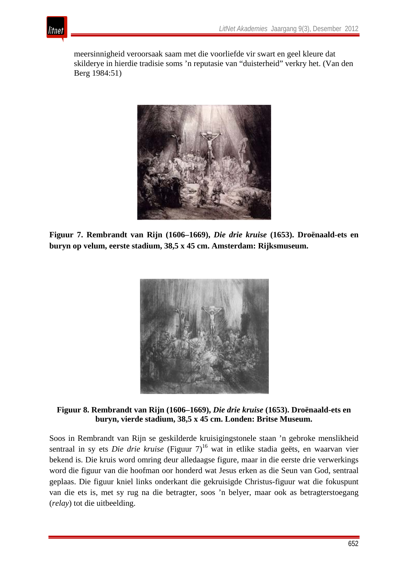

meersinnigheid veroorsaak saam met die voorliefde vir swart en geel kleure dat skilderye in hierdie tradisie soms 'n reputasie van "duisterheid" verkry het. (Van den Berg 1984:51)



**Figuur 7. Rembrandt van Rijn (1606–1669),** *Die drie kruise* **(1653). Droënaald-ets en buryn op velum, eerste stadium, 38,5 x 45 cm. Amsterdam: Rijksmuseum.** 



#### **Figuur 8. Rembrandt van Rijn (1606–1669),** *Die drie kruise* **(1653). Droënaald-ets en buryn, vierde stadium, 38,5 x 45 cm. Londen: Britse Museum.**

Soos in Rembrandt van Rijn se geskilderde kruisigingstonele staan 'n gebroke menslikheid sentraal in sy ets *Die drie kruise* (Figuur 7)<sup>16</sup> wat in etlike stadia geëts, en waarvan vier bekend is. Die kruis word omring deur alledaagse figure, maar in die eerste drie verwerkings word die figuur van die hoofman oor honderd wat Jesus erken as die Seun van God, sentraal geplaas. Die figuur kniel links onderkant die gekruisigde Christus-figuur wat die fokuspunt van die ets is, met sy rug na die betragter, soos 'n belyer, maar ook as betragterstoegang (*relay*) tot die uitbeelding.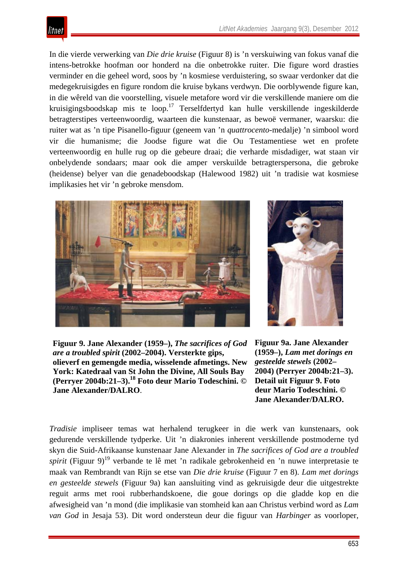

In die vierde verwerking van *Die drie kruise* (Figuur 8) is 'n verskuiwing van fokus vanaf die intens-betrokke hoofman oor honderd na die onbetrokke ruiter. Die figure word drasties verminder en die geheel word, soos by 'n kosmiese verduistering, so swaar verdonker dat die medegekruisigdes en figure rondom die kruise bykans verdwyn. Die oorblywende figure kan, in die wêreld van die voorstelling, visuele metafore word vir die verskillende maniere om die kruisigingsboodskap mis te loop.17 Terselfdertyd kan hulle verskillende ingeskilderde betragterstipes verteenwoordig, waarteen die kunstenaar, as bewoë vermaner, waarsku: die ruiter wat as 'n tipe Pisanello-figuur (geneem van 'n *quattrocento*-medalje) 'n simbool word vir die humanisme; die Joodse figure wat die Ou Testamentiese wet en profete verteenwoordig en hulle rug op die gebeure draai; die verharde misdadiger, wat staan vir onbelydende sondaars; maar ook die amper verskuilde betragterspersona, die gebroke (heidense) belyer van die genadeboodskap (Halewood 1982) uit 'n tradisie wat kosmiese implikasies het vir 'n gebroke mensdom.





**Figuur 9. Jane Alexander (1959–),** *The sacrifices of God are a troubled spirit* **(2002–2004). Versterkte gips, olieverf en gemengde media, wisselende afmetings. New York: Katedraal van St John the Divine, All Souls Bay (Perryer 2004b:21–3).18 Foto deur Mario Todeschini. © Jane Alexander/DALRO**.

**Figuur 9a. Jane Alexander (1959–),** *Lam met dorings en gesteelde stewels* **(2002– 2004) (Perryer 2004b:21–3). Detail uit Figuur 9. Foto deur Mario Todeschini. © Jane Alexander/DALRO.**

*Tradisie* impliseer temas wat herhalend terugkeer in die werk van kunstenaars, ook gedurende verskillende tydperke. Uit 'n diakronies inherent verskillende postmoderne tyd skyn die Suid-Afrikaanse kunstenaar Jane Alexander in *The sacrifices of God are a troubled spirit* (Figuur 9)<sup>19</sup> verbande te lê met 'n radikale gebrokenheid en 'n nuwe interpretasie te maak van Rembrandt van Rijn se etse van *Die drie kruise* (Figuur 7 en 8). *Lam met dorings en gesteelde stewels* (Figuur 9a) kan aansluiting vind as gekruisigde deur die uitgestrekte reguit arms met rooi rubberhandskoene, die goue dorings op die gladde kop en die afwesigheid van 'n mond (die implikasie van stomheid kan aan Christus verbind word as *Lam van God* in Jesaja 53). Dit word ondersteun deur die figuur van *Harbinger* as voorloper,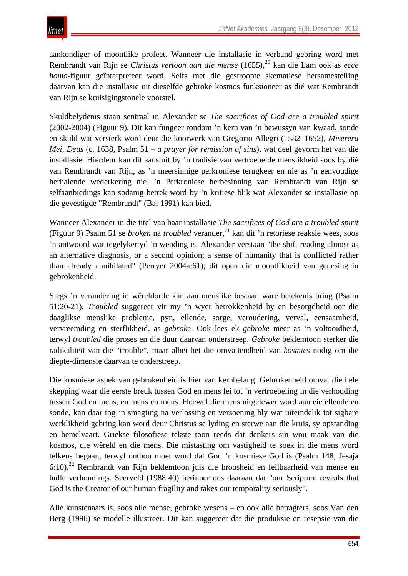aankondiger of moontlike profeet. Wanneer die installasie in verband gebring word met Rembrandt van Rijn se *Christus vertoon aan die mense* (1655),<sup>20</sup> kan die Lam ook as *ecce homo*-figuur geïnterpreteer word. Selfs met die gestroopte skematiese hersamestelling daarvan kan die installasie uit dieselfde gebroke kosmos funksioneer as dié wat Rembrandt van Rijn se kruisigingstonele voorstel.

Skuldbelydenis staan sentraal in Alexander se *The sacrifices of God are a troubled spirit* (2002-2004) (Figuur 9). Dit kan fungeer rondom 'n kern van 'n bewussyn van kwaad, sonde en skuld wat versterk word deur die koorwerk van Gregorio Allegri (1582–1652), *Miserera Mei, Deus* (c. 1638, Psalm 51 – *a prayer for remission of sins*), wat deel gevorm het van die installasie. Hierdeur kan dit aansluit by 'n tradisie van vertroebelde menslikheid soos by dié van Rembrandt van Rijn, as 'n meersinnige perkroniese terugkeer en nie as 'n eenvoudige herhalende wederkering nie. 'n Perkroniese herbesinning van Rembrandt van Rijn se selfaanbiedings kan sodanig betrek word by 'n kritiese blik wat Alexander se installasie op die gevestigde "Rembrandt" (Bal 1991) kan bied.

Wanneer Alexander in die titel van haar installasie *The sacrifices of God are a troubled spirit* (Figuur 9) Psalm 51 se *broken* na *troubled* verander,<sup>21</sup> kan dit 'n retoriese reaksie wees, soos 'n antwoord wat tegelykertyd 'n wending is. Alexander verstaan "the shift reading almost as an alternative diagnosis, or a second opinion; a sense of humanity that is conflicted rather than already annihilated" (Perryer 2004a:61); dit open die moontlikheid van genesing in gebrokenheid.

Slegs 'n verandering in wêreldorde kan aan menslike bestaan ware betekenis bring (Psalm 51:20-21). *Troubled* suggereer vir my 'n wyer betrokkenheid by en besorgdheid oor die daaglikse menslike probleme, pyn, ellende, sorge, veroudering, verval, eensaamheid, vervreemding en sterflikheid, as *gebroke*. Ook lees ek *gebroke* meer as 'n voltooidheid, terwyl *troubled* die proses en die duur daarvan onderstreep. *Gebroke* beklemtoon sterker die radikaliteit van die "trouble", maar albei het die omvattendheid van *kosmies* nodig om die diepte-dimensie daarvan te onderstreep.

Die kosmiese aspek van gebrokenheid is hier van kernbelang. Gebrokenheid omvat die hele skepping waar die eerste breuk tussen God en mens lei tot 'n vertroebeling in die verhouding tussen God en mens, en mens en mens. Hoewel die mens uitgelewer word aan eie ellende en sonde, kan daar tog 'n smagting na verlossing en versoening bly wat uiteindelik tot sigbare werklikheid gebring kan word deur Christus se lyding en sterwe aan die kruis, sy opstanding en hemelvaart. Griekse filosofiese tekste toon reeds dat denkers sin wou maak van die kosmos, die wêreld en die mens. Die mistasting om vastigheid te soek in die mens word telkens begaan, terwyl onthou moet word dat God 'n kosmiese God is (Psalm 148, Jesaja 6:10).22 Rembrandt van Rijn beklemtoon juis die broosheid en feilbaarheid van mense en hulle verhoudings. Seerveld (1988:40) herinner ons daaraan dat "our Scripture reveals that God is the Creator of our human fragility and takes our temporality seriously".

Alle kunstenaars is, soos alle mense, gebroke wesens – en ook alle betragters, soos Van den Berg (1996) se modelle illustreer. Dit kan suggereer dat die produksie en resepsie van die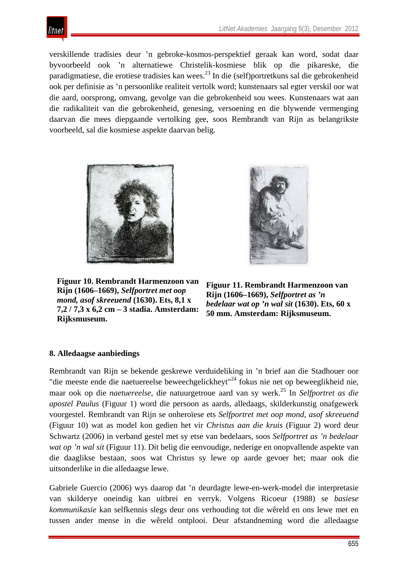

verskillende tradisies deur 'n gebroke-kosmos-perspektief geraak kan word, sodat daar byvoorbeeld ook 'n alternatiewe Christelik-kosmiese blik op die pikareske, die paradigmatiese, die erotiese tradisies kan wees.<sup>23</sup> In die (self)portretkuns sal die gebrokenheid ook per definisie as 'n persoonlike realiteit vertolk word; kunstenaars sal egter verskil oor wat die aard, oorsprong, omvang, gevolge van die gebrokenheid sou wees. Kunstenaars wat aan die radikaliteit van die gebrokenheid, genesing, versoening en die blywende vermenging daarvan die mees diepgaande vertolking gee, soos Rembrandt van Rijn as belangrikste voorbeeld, sal die kosmiese aspekte daarvan belig.



**Figuur 10. Rembrandt Harmenzoon van Rijn (1606–1669),** *Selfportret met oop mond, asof skreeuend* **(1630). Ets, 8,1 x 7,2 / 7,3 x 6,2 cm – 3 stadia. Amsterdam: Rijksmuseum.** 



**Figuur 11. Rembrandt Harmenzoon van Rijn (1606–1669),** *Selfportret as 'n bedelaar wat op 'n wal sit* **(1630). Ets, 60 x 50 mm. Amsterdam: Rijksmuseum.** 

#### **8. Alledaagse aanbiedings**

Rembrandt van Rijn se bekende geskrewe verduideliking in 'n brief aan die Stadhouer oor "die meeste ende die naetuereelse beweechgelickheyt"<sup>24</sup> fokus nie net op beweeglikheid nie, maar ook op die *naetuereelse*, die natuurgetroue aard van sy werk.25 In *Selfportret as die apostel Paulus* (Figuur 1) word die persoon as aards, alledaags, skilderkunstig onafgewerk voorgestel. Rembrandt van Rijn se onheroïese ets *Selfportret met oop mond, asof skreeuend* (Figuur 10) wat as model kon gedien het vir *Christus aan die kruis* (Figuur 2) word deur Schwartz (2006) in verband gestel met sy etse van bedelaars, soos *Selfportret as 'n bedelaar wat op 'n wal sit* (Figuur 11). Dit belig die eenvoudige, nederige en onopvallende aspekte van die daaglikse bestaan, soos wat Christus sy lewe op aarde gevoer het; maar ook die uitsonderlike in die alledaagse lewe.

Gabriele Guercio (2006) wys daarop dat 'n deurdagte lewe-en-werk-model die interpretasie van skilderye oneindig kan uitbrei en verryk. Volgens Ricoeur (1988) se *basiese kommunikasie* kan selfkennis slegs deur ons verhouding tot die wêreld en ons lewe met en tussen ander mense in die wêreld ontplooi. Deur afstandneming word die alledaagse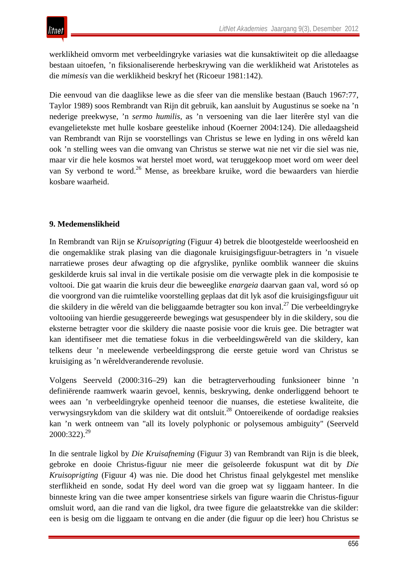werklikheid omvorm met verbeeldingryke variasies wat die kunsaktiwiteit op die alledaagse bestaan uitoefen, 'n fiksionaliserende herbeskrywing van die werklikheid wat Aristoteles as die *mimesis* van die werklikheid beskryf het (Ricoeur 1981:142).

Die eenvoud van die daaglikse lewe as die sfeer van die menslike bestaan (Bauch 1967:77, Taylor 1989) soos Rembrandt van Rijn dit gebruik, kan aansluit by Augustinus se soeke na 'n nederige preekwyse, 'n *sermo humilis*, as 'n versoening van die laer literêre styl van die evangelietekste met hulle kosbare geestelike inhoud (Koerner 2004:124). Die alledaagsheid van Rembrandt van Rijn se voorstellings van Christus se lewe en lyding in ons wêreld kan ook 'n stelling wees van die omvang van Christus se sterwe wat nie net vir die siel was nie, maar vir die hele kosmos wat herstel moet word, wat teruggekoop moet word om weer deel van Sy verbond te word.26 Mense, as breekbare kruike, word die bewaarders van hierdie kosbare waarheid.

# **9. Medemenslikheid**

In Rembrandt van Rijn se *Kruisoprigting* (Figuur 4) betrek die blootgestelde weerloosheid en die ongemaklike strak plasing van die diagonale kruisigingsfiguur-betragters in 'n visuele narratiewe proses deur afwagting op die afgryslike, pynlike oomblik wanneer die skuins geskilderde kruis sal inval in die vertikale posisie om die verwagte plek in die komposisie te voltooi. Die gat waarin die kruis deur die beweeglike *enargeia* daarvan gaan val, word só op die voorgrond van die ruimtelike voorstelling geplaas dat dit lyk asof die kruisigingsfiguur uit die skildery in die wêreld van die beliggaamde betragter sou kon inval.<sup>27</sup> Die verbeeldingryke voltooiing van hierdie gesuggereerde bewegings wat gesuspendeer bly in die skildery, sou die eksterne betragter voor die skildery die naaste posisie voor die kruis gee. Die betragter wat kan identifiseer met die tematiese fokus in die verbeeldingswêreld van die skildery, kan telkens deur 'n meelewende verbeeldingsprong die eerste getuie word van Christus se kruisiging as 'n wêreldveranderende revolusie.

Volgens Seerveld (2000:316–29) kan die betragterverhouding funksioneer binne 'n definiërende raamwerk waarin gevoel, kennis, beskrywing, denke onderliggend behoort te wees aan 'n verbeeldingryke openheid teenoor die nuanses, die estetiese kwaliteite, die verwysingsrykdom van die skildery wat dit ontsluit.28 Ontoereikende of oordadige reaksies kan 'n werk ontneem van "all its lovely polyphonic or polysemous ambiguity" (Seerveld  $2000:322$ ).<sup>29</sup>

In die sentrale ligkol by *Die Kruisafneming* (Figuur 3) van Rembrandt van Rijn is die bleek, gebroke en dooie Christus-figuur nie meer die geïsoleerde fokuspunt wat dit by *Die Kruisoprigting* (Figuur 4) was nie. Die dood het Christus finaal gelykgestel met menslike sterflikheid en sonde, sodat Hy deel word van die groep wat sy liggaam hanteer. In die binneste kring van die twee amper konsentriese sirkels van figure waarin die Christus-figuur omsluit word, aan die rand van die ligkol, dra twee figure die gelaatstrekke van die skilder: een is besig om die liggaam te ontvang en die ander (die figuur op die leer) hou Christus se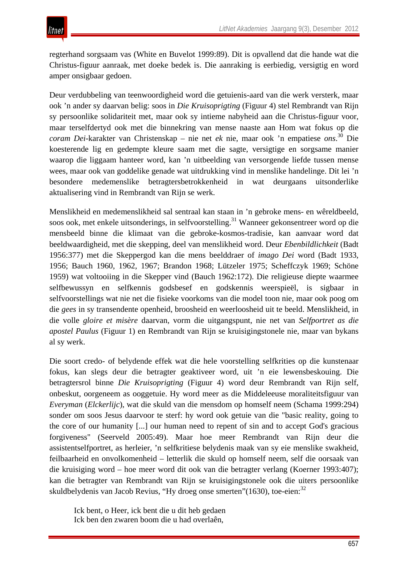regterhand sorgsaam vas (White en Buvelot 1999:89). Dit is opvallend dat die hande wat die Christus-figuur aanraak, met doeke bedek is. Die aanraking is eerbiedig, versigtig en word amper onsigbaar gedoen.

Deur verdubbeling van teenwoordigheid word die getuienis-aard van die werk versterk, maar ook 'n ander sy daarvan belig: soos in *Die Kruisoprigting* (Figuur 4) stel Rembrandt van Rijn sy persoonlike solidariteit met, maar ook sy intieme nabyheid aan die Christus-figuur voor, maar terselfdertyd ook met die binnekring van mense naaste aan Hom wat fokus op die *coram Dei*-karakter van Christenskap – nie net *ek* nie, maar ook 'n empatiese *ons*. <sup>30</sup> Die koesterende lig en gedempte kleure saam met die sagte, versigtige en sorgsame manier waarop die liggaam hanteer word, kan 'n uitbeelding van versorgende liefde tussen mense wees, maar ook van goddelike genade wat uitdrukking vind in menslike handelinge. Dit lei 'n besondere medemenslike betragtersbetrokkenheid in wat deurgaans uitsonderlike aktualisering vind in Rembrandt van Rijn se werk.

Menslikheid en medemenslikheid sal sentraal kan staan in 'n gebroke mens- en wêreldbeeld, soos ook, met enkele uitsonderings, in selfvoorstelling.<sup>31</sup> Wanneer gekonsentreer word op die mensbeeld binne die klimaat van die gebroke-kosmos-tradisie, kan aanvaar word dat beeldwaardigheid, met die skepping, deel van menslikheid word. Deur *Ebenbildlichkeit* (Badt 1956:377) met die Skeppergod kan die mens beelddraer of *imago Dei* word (Badt 1933, 1956; Bauch 1960, 1962, 1967; Brandon 1968; Lützeler 1975; Scheffczyk 1969; Schöne 1959) wat voltooiing in die Skepper vind (Bauch 1962:172). Die religieuse diepte waarmee selfbewussyn en selfkennis godsbesef en godskennis weerspieël, is sigbaar in selfvoorstellings wat nie net die fisieke voorkoms van die model toon nie, maar ook poog om die *gees* in sy transendente openheid, broosheid en weerloosheid uit te beeld. Menslikheid, in die volle *gloire et misère* daarvan, vorm die uitgangspunt, nie net van *Selfportret as die apostel Paulus* (Figuur 1) en Rembrandt van Rijn se kruisigingstonele nie, maar van bykans al sy werk.

Die soort credo- of belydende effek wat die hele voorstelling selfkrities op die kunstenaar fokus, kan slegs deur die betragter geaktiveer word, uit 'n eie lewensbeskouing. Die betragtersrol binne *Die Kruisoprigting* (Figuur 4) word deur Rembrandt van Rijn self, onbeskut, oorgeneem as ooggetuie. Hy word meer as die Middeleeuse moraliteitsfiguur van *Everyman* (*Elckerlijc*), wat die skuld van die mensdom op homself neem (Schama 1999:294) sonder om soos Jesus daarvoor te sterf: hy word ook getuie van die "basic reality, going to the core of our humanity [...] our human need to repent of sin and to accept God's gracious forgiveness" (Seerveld 2005:49). Maar hoe meer Rembrandt van Rijn deur die assistentselfportret, as herleier, 'n selfkritiese belydenis maak van sy eie menslike swakheid, feilbaarheid en onvolkomenheid – letterlik die skuld op homself neem, self die oorsaak van die kruisiging word – hoe meer word dit ook van die betragter verlang (Koerner 1993:407); kan die betragter van Rembrandt van Rijn se kruisigingstonele ook die uiters persoonlike skuldbelydenis van Jacob Revius, "Hy droeg onse smerten"(1630), toe-eien:<sup>32</sup>

Ick bent, o Heer, ick bent die u dit heb gedaen Ick ben den zwaren boom die u had overlaên,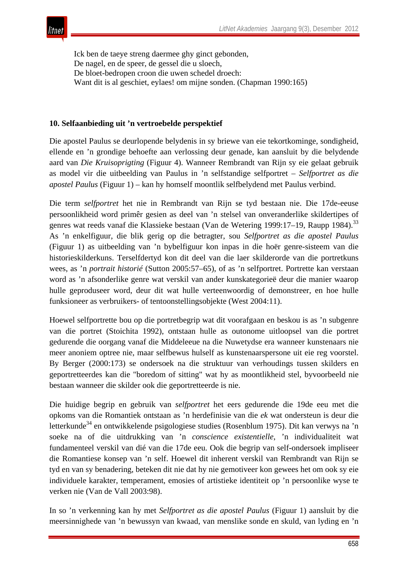

Ick ben de taeye streng daermee ghy ginct gebonden, De nagel, en de speer, de gessel die u sloech, De bloet-bedropen croon die uwen schedel droech: Want dit is al geschiet, eylaes! om mijne sonden. (Chapman 1990:165)

#### **10. Selfaanbieding uit 'n vertroebelde perspektief**

Die apostel Paulus se deurlopende belydenis in sy briewe van eie tekortkominge, sondigheid, ellende en 'n grondige behoefte aan verlossing deur genade, kan aansluit by die belydende aard van *Die Kruisoprigting* (Figuur 4). Wanneer Rembrandt van Rijn sy eie gelaat gebruik as model vir die uitbeelding van Paulus in 'n selfstandige selfportret – *Selfportret as die apostel Paulus* (Figuur 1) – kan hy homself moontlik selfbelydend met Paulus verbind.

Die term *selfportret* het nie in Rembrandt van Rijn se tyd bestaan nie. Die 17de-eeuse persoonlikheid word primêr gesien as deel van 'n stelsel van onveranderlike skildertipes of genres wat reeds vanaf die Klassieke bestaan (Van de Wetering 1999:17–19, Raupp 1984).<sup>33</sup> As 'n enkelfiguur, die blik gerig op die betragter, sou *Selfportret as die apostel Paulus* (Figuur 1) as uitbeelding van 'n bybelfiguur kon inpas in die hoër genre-sisteem van die historieskilderkuns. Terselfdertyd kon dit deel van die laer skilderorde van die portretkuns wees, as 'n *portrait historié* (Sutton 2005:57–65), of as 'n selfportret. Portrette kan verstaan word as 'n afsonderlike genre wat verskil van ander kunskategorieë deur die manier waarop hulle geproduseer word, deur dit wat hulle verteenwoordig of demonstreer, en hoe hulle funksioneer as verbruikers- of tentoonstellingsobjekte (West 2004:11).

Hoewel selfportrette bou op die portretbegrip wat dit voorafgaan en beskou is as 'n subgenre van die portret (Stoichita 1992), ontstaan hulle as outonome uitloopsel van die portret gedurende die oorgang vanaf die Middeleeue na die Nuwetydse era wanneer kunstenaars nie meer anoniem optree nie, maar selfbewus hulself as kunstenaarspersone uit eie reg voorstel. By Berger (2000:173) se ondersoek na die struktuur van verhoudings tussen skilders en geportretteerdes kan die "boredom of sitting" wat hy as moontlikheid stel, byvoorbeeld nie bestaan wanneer die skilder ook die geportretteerde is nie.

Die huidige begrip en gebruik van *selfportret* het eers gedurende die 19de eeu met die opkoms van die Romantiek ontstaan as 'n herdefinisie van die *ek* wat ondersteun is deur die letterkunde<sup>34</sup> en ontwikkelende psigologiese studies (Rosenblum 1975). Dit kan verwys na 'n soeke na of die uitdrukking van 'n *conscience existentielle*, 'n individualiteit wat fundamenteel verskil van dié van die 17de eeu. Ook die begrip van self-ondersoek impliseer die Romantiese konsep van 'n self. Hoewel dit inherent verskil van Rembrandt van Rijn se tyd en van sy benadering, beteken dit nie dat hy nie gemotiveer kon gewees het om ook sy eie individuele karakter, temperament, emosies of artistieke identiteit op 'n persoonlike wyse te verken nie (Van de Vall 2003:98).

In so 'n verkenning kan hy met *Selfportret as die apostel Paulus* (Figuur 1) aansluit by die meersinnighede van 'n bewussyn van kwaad, van menslike sonde en skuld, van lyding en 'n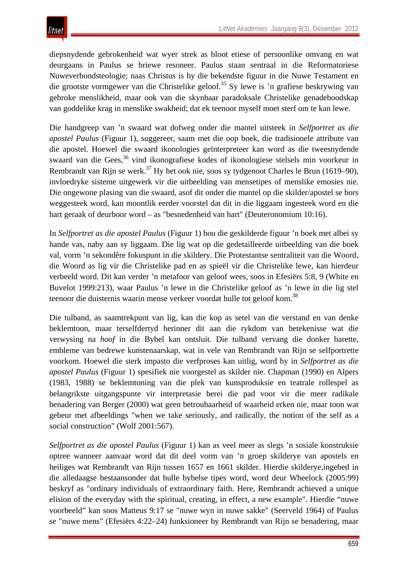diepsnydende gebrokenheid wat wyer strek as bloot etiese of persoonlike omvang en wat deurgaans in Paulus se briewe resoneer. Paulus staan sentraal in die Reformatoriese Nuweverbondsteologie; naas Christus is hy die bekendste figuur in die Nuwe Testament en die grootste vormgewer van die Christelike geloof.<sup>35</sup> Sy lewe is 'n grafiese beskrywing van gebroke menslikheid, maar ook van die skynbaar paradoksale Christelike genadeboodskap van goddelike krag in menslike swakheid; dat ek teenoor myself moet sterf om te kan lewe.

Die handgreep van 'n swaard wat dofweg onder die mantel uitsteek in *Selfportret as die apostel Paulus* (Figuur 1), suggereer, saam met die oop boek, die tradisionele attribute van die apostel. Hoewel die swaard ikonologies geïnterpreteer kan word as die tweesnydende swaard van die Gees,<sup>36</sup> vind ikonografiese kodes of ikonologiese stelsels min voorkeur in Rembrandt van Rijn se werk.<sup>37</sup> Hy het ook nie, soos sy tydgenoot Charles le Brun (1619–90), invloedryke sisteme uitgewerk vir die uitbeelding van mensetipes of menslike emosies nie. Die ongewone plasing van die swaard, asof dit onder die mantel op die skilder/apostel se bors weggesteek word, kan moontlik eerder voorstel dat dit in die liggaam ingesteek word en die hart geraak of deurboor word – as "besnedenheid van hart" (Deuteronomium 10:16).

In *Selfportret as die apostel Paulus* (Figuur 1) hou die geskilderde figuur 'n boek met albei sy hande vas, naby aan sy liggaam. Die lig wat op die gedetailleerde uitbeelding van die boek val, vorm 'n sekondêre fokuspunt in die skildery. Die Protestantse sentraliteit van die Woord, die Woord as lig vir die Christelike pad en as spieël vir die Christelike lewe, kan hierdeur verbeeld word. Dit kan verder 'n metafoor van geloof wees, soos in Efesiërs 5:8, 9 (White en Buvelot 1999:213), waar Paulus 'n lewe in die Christelike geloof as 'n lewe in die lig stel teenoor die duisternis waarin mense verkeer voordat hulle tot geloof kom.<sup>38</sup>

Die tulband, as saamtrekpunt van lig, kan die kop as setel van die verstand en van denke beklemtoon, maar terselfdertyd herinner dit aan die rykdom van betekenisse wat die verwysing na *hoof* in die Bybel kan ontsluit. Die tulband vervang die donker barette, embleme van bedrewe kunstenaarskap, wat in vele van Rembrandt van Rijn se selfportrette voorkom. Hoewel die sterk impasto die verfproses kan uitlig, word hy in *Selfportret as die apostel Paulus* (Figuur 1) spesifiek nie voorgestel as skilder nie. Chapman (1990) en Alpers (1983, 1988) se beklemtoning van die plek van kunsproduksie en teatrale rollespel as belangrikste uitgangspunte vir interpretasie berei die pad voor vir die meer radikale benadering van Berger (2000) wat geen betroubaarheid of waarheid erken nie, maar toon wat gebeur met afbeeldings "when we take seriously, and radically, the notion of the self as a social construction" (Wolf 2001:567).

*Selfportret as die apostel Paulus* (Figuur 1) kan as veel meer as slegs 'n sosiale konstruksie optree wanneer aanvaar word dat dit deel vorm van 'n groep skilderye van apostels en heiliges wat Rembrandt van Rijn tussen 1657 en 1661 skilder. Hierdie skilderye,ingebed in die alledaagse bestaansonder dat hulle bybelse tipes word, word deur Wheelock (2005:99) beskryf as "ordinary individuals of extraordinary faith. Here, Rembrandt achieved a unique elision of the everyday with the spiritual, creating, in effect, a new example". Hierdie "nuwe voorbeeld" kan soos Matteus 9:17 se "nuwe wyn in nuwe sakke" (Seerveld 1964) of Paulus se "nuwe mens" (Efesiërs 4:22–24) funksioneer by Rembrandt van Rijn se benadering, maar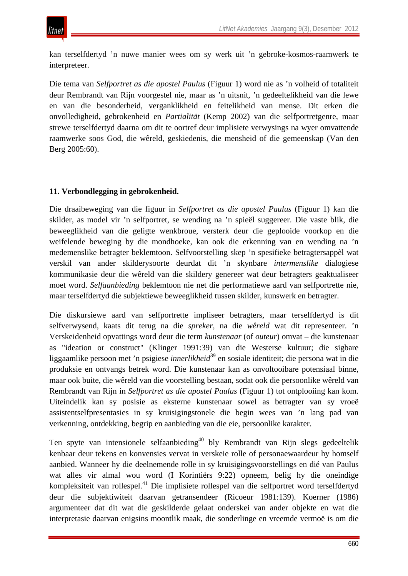kan terselfdertyd 'n nuwe manier wees om sy werk uit 'n gebroke-kosmos-raamwerk te interpreteer.

Die tema van *Selfportret as die apostel Paulus* (Figuur 1) word nie as 'n volheid of totaliteit deur Rembrandt van Rijn voorgestel nie, maar as 'n uitsnit, 'n gedeeltelikheid van die lewe en van die besonderheid, verganklikheid en feitelikheid van mense. Dit erken die onvolledigheid, gebrokenheid en *Partialität* (Kemp 2002) van die selfportretgenre, maar strewe terselfdertyd daarna om dit te oortref deur implisiete verwysings na wyer omvattende raamwerke soos God, die wêreld, geskiedenis, die mensheid of die gemeenskap (Van den Berg 2005:60).

# **11. Verbondlegging in gebrokenheid.**

Die draaibeweging van die figuur in *Selfportret as die apostel Paulus* (Figuur 1) kan die skilder, as model vir 'n selfportret, se wending na 'n spieël suggereer. Die vaste blik, die beweeglikheid van die geligte wenkbroue, versterk deur die geplooide voorkop en die weifelende beweging by die mondhoeke, kan ook die erkenning van en wending na 'n medemenslike betragter beklemtoon. Selfvoorstelling skep 'n spesifieke betragtersappèl wat verskil van ander skilderysoorte deurdat dit 'n skynbare *intermenslike* dialogiese kommunikasie deur die wêreld van die skildery genereer wat deur betragters geaktualiseer moet word. *Selfaanbieding* beklemtoon nie net die performatiewe aard van selfportrette nie, maar terselfdertyd die subjektiewe beweeglikheid tussen skilder, kunswerk en betragter.

Die diskursiewe aard van selfportrette impliseer betragters, maar terselfdertyd is dit selfverwysend, kaats dit terug na die *spreker,* na die *wêreld* wat dit representeer. 'n Verskeidenheid opvattings word deur die term *kunstenaar* (of *outeur*) omvat – die kunstenaar as "ideation or construct" (Klinger 1991:39) van die Westerse kultuur; die sigbare liggaamlike persoon met 'n psigiese *innerlikheid*<sup>39</sup> en sosiale identiteit; die persona wat in die produksie en ontvangs betrek word. Die kunstenaar kan as onvoltooibare potensiaal binne, maar ook buite, die wêreld van die voorstelling bestaan, sodat ook die persoonlike wêreld van Rembrandt van Rijn in *Selfportret as die apostel Paulus* (Figuur 1) tot ontplooiing kan kom. Uiteindelik kan sy posisie as eksterne kunstenaar sowel as betragter van sy vroeë assistentselfpresentasies in sy kruisigingstonele die begin wees van 'n lang pad van verkenning, ontdekking, begrip en aanbieding van die eie, persoonlike karakter.

Ten spyte van intensionele selfaanbieding<sup>40</sup> bly Rembrandt van Rijn slegs gedeeltelik kenbaar deur tekens en konvensies vervat in verskeie rolle of personaewaardeur hy homself aanbied. Wanneer hy die deelnemende rolle in sy kruisigingsvoorstellings en dié van Paulus wat alles vir almal wou word (I Korintiërs 9:22) opneem, belig hy die oneindige kompleksiteit van rollespel.<sup>41</sup> Die implisiete rollespel van die selfportret word terselfdertyd deur die subjektiwiteit daarvan getransendeer (Ricoeur 1981:139). Koerner (1986) argumenteer dat dit wat die geskilderde gelaat onderskei van ander objekte en wat die interpretasie daarvan enigsins moontlik maak, die sonderlinge en vreemde vermoë is om die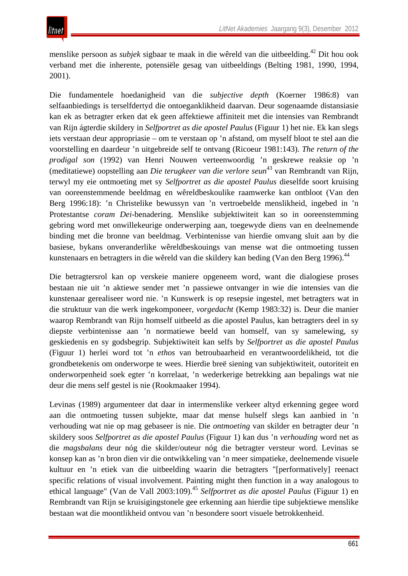menslike persoon as *subjek* sigbaar te maak in die wêreld van die uitbeelding.42 Dit hou ook verband met die inherente, potensiële gesag van uitbeeldings (Belting 1981, 1990, 1994, 2001).

Die fundamentele hoedanigheid van die *subjective depth* (Koerner 1986:8) van selfaanbiedings is terselfdertyd die ontoeganklikheid daarvan. Deur sogenaamde distansiasie kan ek as betragter erken dat ek geen affektiewe affiniteit met die intensies van Rembrandt van Rijn ágterdie skildery in *Selfportret as die apostel Paulus* (Figuur 1) het nie. Ek kan slegs iets verstaan deur appropriasie – om te verstaan op 'n afstand, om myself bloot te stel aan die voorstelling en daardeur 'n uitgebreide self te ontvang (Ricoeur 1981:143). *The return of the prodigal son* (1992) van Henri Nouwen verteenwoordig 'n geskrewe reaksie op 'n (meditatiewe) oopstelling aan *Die terugkeer van die verlore seun*<sup>43</sup> van Rembrandt van Rijn, terwyl my eie ontmoeting met sy *Selfportret as die apostel Paulus* dieselfde soort kruising van ooreenstemmende beeldmag en wêreldbeskoulike raamwerke kan ontbloot (Van den Berg 1996:18): 'n Christelike bewussyn van 'n vertroebelde menslikheid, ingebed in 'n Protestantse *coram Dei*-benadering. Menslike subjektiwiteit kan so in ooreenstemming gebring word met onwillekeurige onderwerping aan, toegewyde diens van en deelnemende binding met die bronne van beeldmag. Verbintenisse van hierdie omvang sluit aan by die basiese, bykans onveranderlike wêreldbeskouings van mense wat die ontmoeting tussen kunstenaars en betragters in die wêreld van die skildery kan beding (Van den Berg 1996).<sup>44</sup>

Die betragtersrol kan op verskeie maniere opgeneem word, want die dialogiese proses bestaan nie uit 'n aktiewe sender met 'n passiewe ontvanger in wie die intensies van die kunstenaar gerealiseer word nie. 'n Kunswerk is op resepsie ingestel, met betragters wat in die struktuur van die werk ingekomponeer, *vorgedacht* (Kemp 1983:32) is. Deur die manier waarop Rembrandt van Rijn homself uitbeeld as die apostel Paulus, kan betragters deel in sy diepste verbintenisse aan 'n normatiewe beeld van homself, van sy samelewing, sy geskiedenis en sy godsbegrip. Subjektiwiteit kan selfs by *Selfportret as die apostel Paulus* (Figuur 1) herlei word tot 'n *ethos* van betroubaarheid en verantwoordelikheid, tot die grondbetekenis om onderworpe te wees. Hierdie breë siening van subjektiwiteit, outoriteit en onderworpenheid soek egter 'n korrelaat, 'n wederkerige betrekking aan bepalings wat nie deur die mens self gestel is nie (Rookmaaker 1994).

Levinas (1989) argumenteer dat daar in intermenslike verkeer altyd erkenning gegee word aan die ontmoeting tussen subjekte, maar dat mense hulself slegs kan aanbied in 'n verhouding wat nie op mag gebaseer is nie. Die *ontmoeting* van skilder en betragter deur 'n skildery soos *Selfportret as die apostel Paulus* (Figuur 1) kan dus 'n *verhouding* word net as die *magsbalans* deur nóg die skilder/outeur nóg die betragter versteur word. Levinas se konsep kan as 'n bron dien vir die ontwikkeling van 'n meer simpatieke, deelnemende visuele kultuur en 'n etiek van die uitbeelding waarin die betragters "[performatively] reenact specific relations of visual involvement. Painting might then function in a way analogous to ethical language" (Van de Vall 2003:109).45 *Selfportret as die apostel Paulus* (Figuur 1) en Rembrandt van Rijn se kruisigingstonele gee erkenning aan hierdie tipe subjektiewe menslike bestaan wat die moontlikheid ontvou van 'n besondere soort visuele betrokkenheid.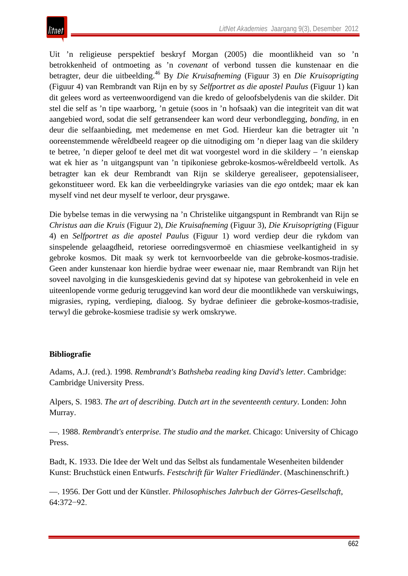Uit 'n religieuse perspektief beskryf Morgan (2005) die moontlikheid van so 'n betrokkenheid of ontmoeting as 'n *covenant* of verbond tussen die kunstenaar en die betragter, deur die uitbeelding.46 By *Die Kruisafneming* (Figuur 3) en *Die Kruisoprigting*  (Figuur 4) van Rembrandt van Rijn en by sy *Selfportret as die apostel Paulus* (Figuur 1) kan dit gelees word as verteenwoordigend van die kredo of geloofsbelydenis van die skilder. Dit stel die self as 'n tipe waarborg, 'n getuie (soos in 'n hofsaak) van die integriteit van dit wat aangebied word, sodat die self getransendeer kan word deur verbondlegging, *bonding*, in en deur die selfaanbieding, met medemense en met God. Hierdeur kan die betragter uit 'n ooreenstemmende wêreldbeeld reageer op die uitnodiging om 'n dieper laag van die skildery te betree, 'n dieper geloof te deel met dit wat voorgestel word in die skildery – 'n eienskap wat ek hier as 'n uitgangspunt van 'n tipikoniese gebroke-kosmos-wêreldbeeld vertolk. As betragter kan ek deur Rembrandt van Rijn se skilderye gerealiseer, gepotensialiseer, gekonstitueer word. Ek kan die verbeeldingryke variasies van die *ego* ontdek; maar ek kan myself vind net deur myself te verloor, deur prysgawe.

Die bybelse temas in die verwysing na 'n Christelike uitgangspunt in Rembrandt van Rijn se *Christus aan die Kruis* (Figuur 2), *Die Kruisafneming* (Figuur 3), *Die Kruisoprigting* (Figuur 4) en *Selfportret as die apostel Paulus* (Figuur 1) word verdiep deur die rykdom van sinspelende gelaagdheid, retoriese oorredingsvermoë en chiasmiese veelkantigheid in sy gebroke kosmos. Dit maak sy werk tot kernvoorbeelde van die gebroke-kosmos-tradisie. Geen ander kunstenaar kon hierdie bydrae weer ewenaar nie, maar Rembrandt van Rijn het soveel navolging in die kunsgeskiedenis gevind dat sy hipotese van gebrokenheid in vele en uiteenlopende vorme gedurig teruggevind kan word deur die moontlikhede van verskuiwings, migrasies, ryping, verdieping, dialoog. Sy bydrae definieer die gebroke-kosmos-tradisie, terwyl die gebroke-kosmiese tradisie sy werk omskrywe.

# **Bibliografie**

Adams, A.J. (red.). 1998. *Rembrandt's Bathsheba reading king David's letter*. Cambridge: Cambridge University Press.

Alpers, S. 1983. *The art of describing. Dutch art in the seventeenth century*. Londen: John Murray.

—. 1988. *Rembrandt's enterprise. The studio and the market*. Chicago: University of Chicago Press.

Badt, K. 1933. Die Idee der Welt und das Selbst als fundamentale Wesenheiten bildender Kunst: Bruchstück einen Entwurfs. *Festschrift für Walter Friedländer*. (Maschinenschrift.)

—. 1956. Der Gott und der Künstler. *Philosophisches Jahrbuch der Görres-Gesellschaft*, 64:372−92.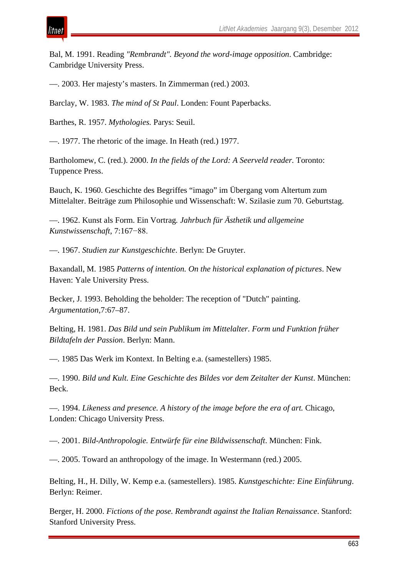ıtnei

Bal, M. 1991. Reading *"Rembrandt". Beyond the word-image opposition*. Cambridge: Cambridge University Press.

—. 2003. Her majesty's masters. In Zimmerman (red.) 2003.

Barclay, W. 1983. *The mind of St Paul*. Londen: Fount Paperbacks.

Barthes, R. 1957. *Mythologies.* Parys: Seuil.

—. 1977. The rhetoric of the image. In Heath (red.) 1977.

Bartholomew, C. (red.). 2000. *In the fields of the Lord: A Seerveld reader.* Toronto: Tuppence Press.

Bauch, K. 1960. Geschichte des Begriffes "imago" im Übergang vom Altertum zum Mittelalter. Beiträge zum Philosophie und Wissenschaft: W. Szilasie zum 70. Geburtstag.

—. 1962. Kunst als Form. Ein Vortrag*. Jahrbuch für Ästhetik und allgemeine Kunstwissenschaft*, 7:167−88.

—. 1967. *Studien zur Kunstgeschichte*. Berlyn: De Gruyter.

Baxandall, M. 1985 *Patterns of intention. On the historical explanation of pictures*. New Haven: Yale University Press.

Becker, J. 1993. Beholding the beholder: The reception of "Dutch" painting. *Argumentation*,7:67–87.

Belting, H. 1981. *Das Bild und sein Publikum im Mittelalter. Form und Funktion früher Bildtafeln der Passion*. Berlyn: Mann.

—. 1985 Das Werk im Kontext. In Belting e.a. (samestellers) 1985.

—. 1990. *Bild und Kult. Eine Geschichte des Bildes vor dem Zeitalter der Kunst*. München: Beck.

—. 1994. *Likeness and presence. A history of the image before the era of art.* Chicago, Londen: Chicago University Press.

—. 2001. *Bild-Anthropologie. Entwürfe für eine Bildwissenschaft*. München: Fink.

—. 2005. Toward an anthropology of the image. In Westermann (red.) 2005.

Belting, H., H. Dilly, W. Kemp e.a. (samestellers). 1985. *Kunstgeschichte: Eine Einführung*. Berlyn: Reimer.

Berger, H. 2000. *Fictions of the pose. Rembrandt against the Italian Renaissance*. Stanford: Stanford University Press.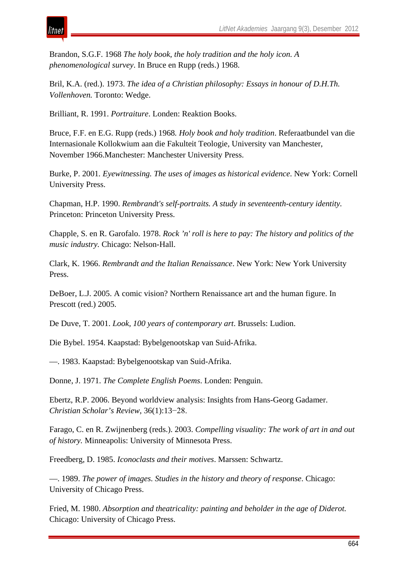

Brandon, S.G.F. 1968 *The holy book, the holy tradition and the holy icon. A phenomenological survey*. In Bruce en Rupp (reds.) 1968.

Bril, K.A. (red.). 1973. *The idea of a Christian philosophy: Essays in honour of D.H.Th. Vollenhoven.* Toronto: Wedge.

Brilliant, R. 1991. *Portraiture*. Londen: Reaktion Books.

Bruce, F.F. en E.G. Rupp (reds.) 1968*. Holy book and holy tradition*. Referaatbundel van die Internasionale Kollokwium aan die Fakulteit Teologie, University van Manchester, November 1966.Manchester: Manchester University Press.

Burke, P. 2001*. Eyewitnessing. The uses of images as historical evidence*. New York: Cornell University Press.

Chapman, H.P. 1990. *Rembrandt's self-portraits. A study in seventeenth-century identity.* Princeton: Princeton University Press.

Chapple, S. en R. Garofalo. 1978. *Rock 'n' roll is here to pay: The history and politics of the music industry.* Chicago: Nelson-Hall.

Clark, K. 1966. *Rembrandt and the Italian Renaissance*. New York: New York University Press.

DeBoer, L.J. 2005. A comic vision? Northern Renaissance art and the human figure. In Prescott (red.) 2005.

De Duve, T. 2001. *Look, 100 years of contemporary art*. Brussels: Ludion.

Die Bybel. 1954. Kaapstad: Bybelgenootskap van Suid-Afrika.

—. 1983. Kaapstad: Bybelgenootskap van Suid-Afrika.

Donne, J. 1971. *The Complete English Poems*. Londen: Penguin.

Ebertz, R.P. 2006. Beyond worldview analysis: Insights from Hans-Georg Gadamer. *Christian Scholar's Review*, 36(1):13−28.

Farago, C. en R. Zwijnenberg (reds.). 2003. *Compelling visuality: The work of art in and out of history.* Minneapolis: University of Minnesota Press.

Freedberg, D. 1985. *Iconoclasts and their motives*. Marssen: Schwartz.

—. 1989. *The power of images. Studies in the history and theory of response*. Chicago: University of Chicago Press.

Fried, M. 1980. *Absorption and theatricality: painting and beholder in the age of Diderot.*  Chicago: University of Chicago Press.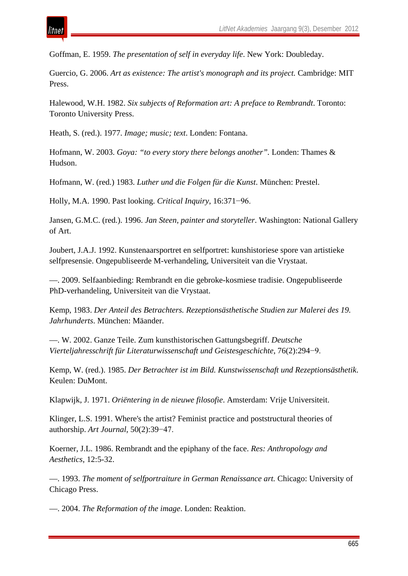Goffman, E. 1959. *The presentation of self in everyday life*. New York: Doubleday.

Guercio, G. 2006. *Art as existence: The artist's monograph and its project.* Cambridge: MIT Press.

Halewood, W.H. 1982. *Six subjects of Reformation art: A preface to Rembrandt*. Toronto: Toronto University Press.

Heath, S. (red.). 1977. *Image; music; text*. Londen: Fontana.

itnei

Hofmann, W. 2003. *Goya: "to every story there belongs another".* Londen: Thames & Hudson.

Hofmann, W. (red.) 1983. *Luther und die Folgen für die Kunst*. München: Prestel.

Holly, M.A. 1990. Past looking. *Critical Inquiry*, 16:371−96.

Jansen, G.M.C. (red.). 1996. *Jan Steen, painter and storyteller*. Washington: National Gallery of Art.

Joubert, J.A.J. 1992. Kunstenaarsportret en selfportret: kunshistoriese spore van artistieke selfpresensie. Ongepubliseerde M-verhandeling, Universiteit van die Vrystaat.

—. 2009. Selfaanbieding: Rembrandt en die gebroke-kosmiese tradisie. Ongepubliseerde PhD-verhandeling, Universiteit van die Vrystaat.

Kemp, 1983. *Der Anteil des Betrachters. Rezeptionsästhetische Studien zur Malerei des 19. Jahrhunderts*. München: Mäander.

—. W. 2002. Ganze Teile. Zum kunsthistorischen Gattungsbegriff. *Deutsche Vierteljahresschrift für Literaturwissenschaft und Geistesgeschichte*, 76(2):294−9.

Kemp, W. (red.). 1985. *Der Betrachter ist im Bild. Kunstwissenschaft und Rezeptionsästhetik*. Keulen: DuMont.

Klapwijk, J. 1971. *Oriëntering in de nieuwe filosofie*. Amsterdam: Vrije Universiteit.

Klinger, L.S. 1991. Where's the artist? Feminist practice and poststructural theories of authorship. *Art Journal*, 50(2):39−47.

Koerner, J.L. 1986. Rembrandt and the epiphany of the face. *Res: Anthropology and Aesthetics*, 12:5-32.

—. 1993. *The moment of selfportraiture in German Renaissance art.* Chicago: University of Chicago Press.

—. 2004. *The Reformation of the image*. Londen: Reaktion.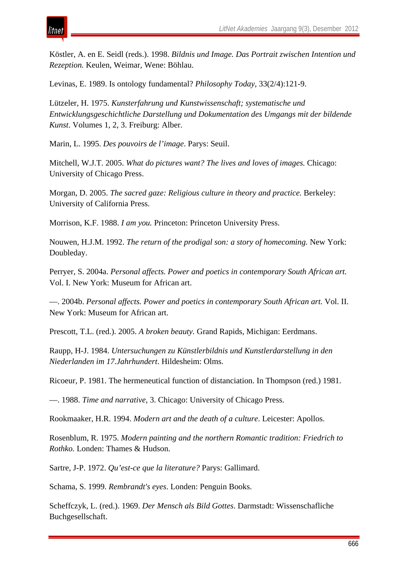

Köstler, A. en E. Seidl (reds.). 1998. *Bildnis und Image. Das Portrait zwischen Intention und Rezeption.* Keulen, Weimar, Wene: Böhlau.

Levinas, E. 1989. Is ontology fundamental? *Philosophy Today*, 33(2/4):121-9.

Lützeler, H. 1975. *Kunsterfahrung und Kunstwissenschaft; systematische und Entwicklungsgeschichtliche Darstellung und Dokumentation des Umgangs mit der bildende Kunst*. Volumes 1, 2, 3. Freiburg: Alber.

Marin, L. 1995. *Des pouvoirs de l'image*. Parys: Seuil.

Mitchell, W.J.T. 2005. *What do pictures want? The lives and loves of images.* Chicago: University of Chicago Press.

Morgan, D. 2005. *The sacred gaze: Religious culture in theory and practice.* Berkeley: University of California Press.

Morrison, K.F. 1988. *I am you.* Princeton: Princeton University Press.

Nouwen, H.J.M. 1992. *The return of the prodigal son: a story of homecoming.* New York: Doubleday.

Perryer, S. 2004a. *Personal affects. Power and poetics in contemporary South African art.*  Vol. I. New York: Museum for African art.

—. 2004b. *Personal affects. Power and poetics in contemporary South African art.* Vol. II. New York: Museum for African art.

Prescott, T.L. (red.). 2005. *A broken beauty.* Grand Rapids, Michigan: Eerdmans.

Raupp, H-J. 1984. *Untersuchungen zu Künstlerbildnis und Kunstlerdarstellung in den Niederlanden im 17.Jahrhundert*. Hildesheim: Olms.

Ricoeur, P. 1981. The hermeneutical function of distanciation. In Thompson (red.) 1981.

—. 1988. *Time and narrative*, 3. Chicago: University of Chicago Press.

Rookmaaker, H.R. 1994. *Modern art and the death of a culture*. Leicester: Apollos.

Rosenblum, R. 1975. *Modern painting and the northern Romantic tradition: Friedrich to Rothko.* Londen: Thames & Hudson.

Sartre, J-P. 1972. *Qu'est-ce que la literature?* Parys: Gallimard.

Schama, S. 1999. *Rembrandt's eyes*. Londen: Penguin Books.

Scheffczyk, L. (red.). 1969. *Der Mensch als Bild Gottes*. Darmstadt: Wissenschafliche Buchgesellschaft.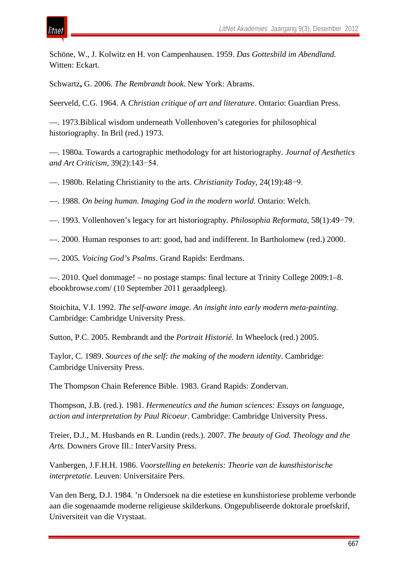Schöne, W., J. Kolwitz en H. von Campenhausen. 1959. *Das Gottesbild im Abendland.* Witten: Eckart.

Schwartz**,** G. 2006. *The Rembrandt book*. New York: Abrams.

itnet

Seerveld, C.G. 1964. A *Christian critique of art and literature*. Ontario: Guardian Press.

—. 1973.Biblical wisdom underneath Vollenhoven's categories for philosophical historiography. In Bril (red.) 1973.

—. 1980a. Towards a cartographic methodology for art historiography. *Journal of Aesthetics and Art Criticism*, 39(2):143−54.

—. 1980b. Relating Christianity to the arts. *Christianity Today*, 24(19):48−9.

—. 1988. *On being human. Imaging God in the modern world*. Ontario: Welch.

—. 1993. Vollenhoven's legacy for art historiography. *Philosophia Reformata*, 58(1):49−79.

—. 2000. Human responses to art: good, bad and indifferent. In Bartholomew (red.) 2000.

—. 2005*. Voicing God's Psalms*. Grand Rapids: Eerdmans.

—. 2010. Quel dommage! – no postage stamps: final lecture at Trinity College 2009:1–8. ebookbrowse.com/ (10 September 2011 geraadpleeg).

Stoichita, V.I. 1992. *The self-aware image. An insight into early modern meta-painting*. Cambridge: Cambridge University Press.

Sutton, P.C. 2005. Rembrandt and the *Portrait Historié.* In Wheelock (red.) 2005.

Taylor, C. 1989. *Sources of the self: the making of the modern identity*. Cambridge: Cambridge University Press.

The Thompson Chain Reference Bible. 1983. Grand Rapids: Zondervan.

Thompson, J.B. (red.). 1981. *Hermeneutics and the human sciences: Essays on language, action and interpretation by Paul Ricoeur*. Cambridge: Cambridge University Press.

Treier, D.J., M. Husbands en R. Lundin (reds.). 2007. *The beauty of God. Theology and the Arts.* Downers Grove Ill.: InterVarsity Press.

Vanbergen, J.F.H.H. 1986. *Voorstelling en betekenis: Theorie van de kunsthistorische interpretatie.* Leuven: Universitaire Pers.

Van den Berg, D.J. 1984. 'n Ondersoek na die estetiese en kunshistoriese probleme verbonde aan die sogenaamde moderne religieuse skilderkuns. Ongepubliseerde doktorale proefskrif, Universiteit van die Vrystaat.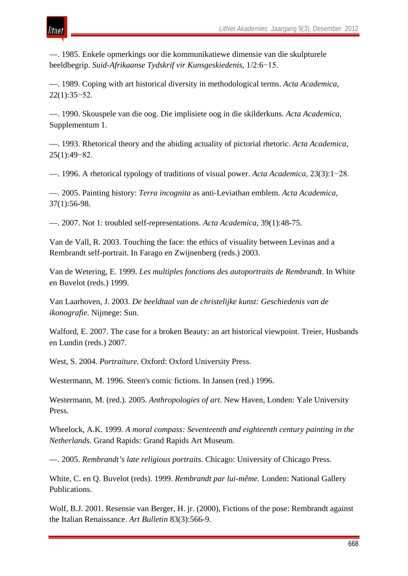—. 1985. Enkele opmerkings oor die kommunikatiewe dimensie van die skulpturele beeldbegrip. *Suid-Afrikaanse Tydskrif vir Kunsgeskiedenis*, 1/2:6−15.

tnei

—. 1989. Coping with art historical diversity in methodological terms. *Acta Academica*, 22(1):35−52.

—. 1990. Skouspele van die oog. Die implisiete oog in die skilderkuns. *Acta Academica*, Supplementum 1.

—. 1993. Rhetorical theory and the abiding actuality of pictorial rhetoric. *Acta Academica*, 25(1):49−82.

—. 1996. A rhetorical typology of traditions of visual power. *Acta Academica*, 23(3):1−28.

—. 2005. Painting history: *Terra incognita* as anti-Leviathan emblem. *Acta Academica*, 37(1):56-98.

—. 2007. Not 1: troubled self-representations. *Acta Academica*, 39(1):48-75.

Van de Vall, R. 2003. Touching the face: the ethics of visuality between Levinas and a Rembrandt self-portrait. In Farago en Zwijnenberg (reds.) 2003.

Van de Wetering, E. 1999. *Les multiples fonctions des autoportraits de Rembrandt*. In White en Buvelot (reds.) 1999.

Van Laarhoven, J. 2003. *De beeldtaal van de christelijke kunst: Geschiedenis van de ikonografie.* Nijmege: Sun.

Walford, E. 2007. The case for a broken Beauty: an art historical viewpoint. Treier, Husbands en Lundin (reds.) 2007.

West, S. 2004. *Portraiture.* Oxford: Oxford University Press.

Westermann, M. 1996. Steen's comic fictions. In Jansen (red.) 1996.

Westermann, M. (red.). 2005. *Anthropologies of art*. New Haven, Londen: Yale University Press.

Wheelock, A.K. 1999. *A moral compass: Seventeenth and eighteenth century painting in the Netherlands.* Grand Rapids: Grand Rapids Art Museum.

—. 2005. *Rembrandt's late religious portraits.* Chicago: University of Chicago Press.

White, C. en Q. Buvelot (reds). 1999. *Rembrandt par lui-même.* Londen: National Gallery Publications.

Wolf, B.J. 2001. Resensie van Berger, H. jr. (2000), Fictions of the pose: Rembrandt against the Italian Renaissance. *Art Bulletin* 83(3):566-9.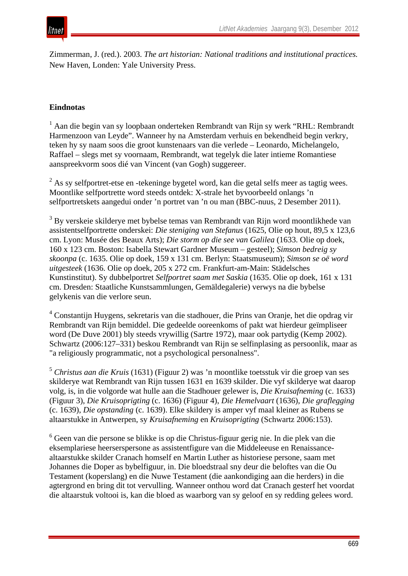

Zimmerman, J. (red.). 2003. *The art historian: National traditions and institutional practices.* New Haven, Londen: Yale University Press.

#### **Eindnotas**

<sup>1</sup> Aan die begin van sy loopbaan onderteken Rembrandt van Rijn sy werk "RHL: Rembrandt Harmenzoon van Leyde". Wanneer hy na Amsterdam verhuis en bekendheid begin verkry, teken hy sy naam soos die groot kunstenaars van die verlede – Leonardo, Michelangelo, Raffael – slegs met sy voornaam, Rembrandt, wat tegelyk die later intieme Romantiese aanspreekvorm soos dié van Vincent (van Gogh) suggereer.

 $2$  As sy selfportret-etse en -tekeninge bygetel word, kan die getal selfs meer as tagtig wees. Moontlike selfportrette word steeds ontdek: X-strale het byvoorbeeld onlangs 'n selfportretskets aangedui onder 'n portret van 'n ou man (BBC-nuus, 2 Desember 2011).

<sup>3</sup> By verskeie skilderye met bybelse temas van Rembrandt van Rijn word moontlikhede van assistentselfportrette onderskei: *Die steniging van Stefanus* (1625, Olie op hout, 89,5 x 123,6 cm. Lyon: Musée des Beaux Arts); *Die storm op die see van Galilea* (1633. Olie op doek, 160 x 123 cm. Boston: Isabella Stewart Gardner Museum – gesteel); *Simson bedreig sy skoonpa* (c. 1635. Olie op doek, 159 x 131 cm. Berlyn: Staatsmuseum); *Simson se oë word uitgesteek* (1636. Olie op doek, 205 x 272 cm. Frankfurt-am-Main: Städelsches Kunstinstitut). Sy dubbelportret *Selfportret saam met Saskia* (1635. Olie op doek, 161 x 131 cm. Dresden: Staatliche Kunstsammlungen, Gemäldegalerie) verwys na die bybelse gelykenis van die verlore seun.

<sup>4</sup> Constantijn Huygens, sekretaris van die stadhouer, die Prins van Oranje, het die opdrag vir Rembrandt van Rijn bemiddel. Die gedeelde ooreenkoms of pakt wat hierdeur geïmpliseer word (De Duve 2001) bly steeds vrywillig (Sartre 1972), maar ook partydig (Kemp 2002). Schwartz (2006:127–331) beskou Rembrandt van Rijn se selfinplasing as persoonlik, maar as "a religiously programmatic, not a psychological personalness".

<sup>5</sup> *Christus aan die Kruis* (1631) (Figuur 2) was 'n moontlike toetsstuk vir die groep van ses skilderye wat Rembrandt van Rijn tussen 1631 en 1639 skilder. Die vyf skilderye wat daarop volg, is, in die volgorde wat hulle aan die Stadhouer gelewer is, *Die Kruisafneming* (c. 1633) (Figuur 3), *Die Kruisoprigting* (c. 1636) (Figuur 4), *Die Hemelvaart* (1636), *Die graflegging* (c. 1639), *Die opstanding* (c. 1639). Elke skildery is amper vyf maal kleiner as Rubens se altaarstukke in Antwerpen, sy *Kruisafneming* en *Kruisoprigting* (Schwartz 2006:153).

<sup>6</sup> Geen van die persone se blikke is op die Christus-figuur gerig nie. In die plek van die eksemplariese heerserspersone as assistentfigure van die Middeleeuse en Renaissancealtaarstukke skilder Cranach homself en Martin Luther as historiese persone, saam met Johannes die Doper as bybelfiguur, in. Die bloedstraal sny deur die beloftes van die Ou Testament (koperslang) en die Nuwe Testament (die aankondiging aan die herders) in die agtergrond en bring dit tot vervulling. Wanneer onthou word dat Cranach gesterf het voordat die altaarstuk voltooi is, kan die bloed as waarborg van sy geloof en sy redding gelees word.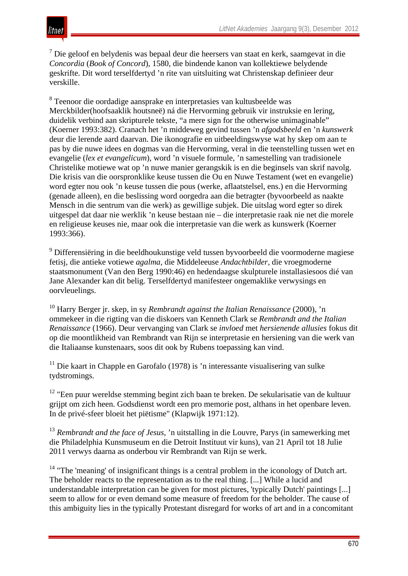$<sup>7</sup>$  Die geloof en belydenis was bepaal deur die heersers van staat en kerk, saamgevat in die</sup> *Concordia* (*Book of Concord*), 1580, die bindende kanon van kollektiewe belydende geskrifte. Dit word terselfdertyd 'n rite van uitsluiting wat Christenskap definieer deur verskille.

<sup>8</sup> Teenoor die oordadige aansprake en interpretasies van kultusbeelde was Merckbilder(hoofsaaklik houtsneë) ná die Hervorming gebruik vir instruksie en lering, duidelik verbind aan skripturele tekste, "a mere sign for the otherwise unimaginable" (Koerner 1993:382). Cranach het 'n middeweg gevind tussen 'n *afgodsbeeld* en 'n *kunswerk* deur die lerende aard daarvan. Die ikonografie en uitbeeldingswyse wat hy skep om aan te pas by die nuwe idees en dogmas van die Hervorming, veral in die teenstelling tussen wet en evangelie (*lex et evangelicum*), word 'n visuele formule, 'n samestelling van tradisionele Christelike motiewe wat op 'n nuwe manier gerangskik is en die beginsels van skrif navolg. Die krisis van die oorspronklike keuse tussen die Ou en Nuwe Testament (wet en evangelie) word egter nou ook 'n keuse tussen die pous (werke, aflaatstelsel, ens.) en die Hervorming (genade alleen), en die beslissing word oorgedra aan die betragter (byvoorbeeld as naakte Mensch in die sentrum van die werk) as gewillige subjek. Die uitslag word egter so direk uitgespel dat daar nie werklik 'n keuse bestaan nie – die interpretasie raak nie net die morele en religieuse keuses nie, maar ook die interpretasie van die werk as kunswerk (Koerner 1993:366).

<sup>9</sup> Differensiëring in die beeldhoukunstige veld tussen byvoorbeeld die voormoderne magiese fetisj, die antieke votiewe *agalma,* die Middeleeuse *Andachtbilder,* die vroegmoderne staatsmonument (Van den Berg 1990:46) en hedendaagse skulpturele installasiesoos dié van Jane Alexander kan dit belig. Terselfdertyd manifesteer ongemaklike verwysings en oorvleuelings.

<sup>10</sup> Harry Berger jr. skep, in sy *Rembrandt against the Italian Renaissance* (2000), 'n ommekeer in die rigting van die diskoers van Kenneth Clark se *Rembrandt and the Italian Renaissance* (1966). Deur vervanging van Clark se *invloed* met *hersienende allusies* fokus dit op die moontlikheid van Rembrandt van Rijn se interpretasie en hersiening van die werk van die Italiaanse kunstenaars, soos dit ook by Rubens toepassing kan vind.

 $11$  Die kaart in Chapple en Garofalo (1978) is 'n interessante visualisering van sulke tydstromings.

 $12$  "Een puur wereldse stemming begint zich baan te breken. De sekularisatie van de kultuur grijpt om zich heen. Godsdienst wordt een pro memorie post, althans in het openbare leven. In de privé-sfeer bloeit het piëtisme" (Klapwijk 1971:12).

<sup>13</sup> *Rembrandt and the face of Jesus*, 'n uitstalling in die Louvre, Parys (in samewerking met die Philadelphia Kunsmuseum en die Detroit Instituut vir kuns), van 21 April tot 18 Julie 2011 verwys daarna as onderbou vir Rembrandt van Rijn se werk.

<sup>14</sup> "The 'meaning' of insignificant things is a central problem in the iconology of Dutch art. The beholder reacts to the representation as to the real thing. [...] While a lucid and understandable interpretation can be given for most pictures, 'typically Dutch' paintings [...] seem to allow for or even demand some measure of freedom for the beholder. The cause of this ambiguity lies in the typically Protestant disregard for works of art and in a concomitant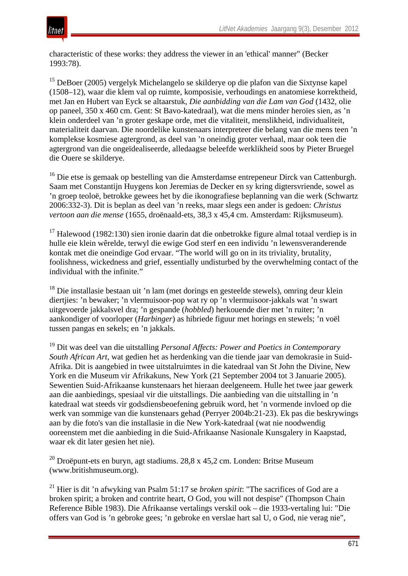

characteristic of these works: they address the viewer in an 'ethical' manner" (Becker 1993:78).

<sup>15</sup> DeBoer (2005) vergelyk Michelangelo se skilderye op die plafon van die Sixtynse kapel (1508–12), waar die klem val op ruimte, komposisie, verhoudings en anatomiese korrektheid, met Jan en Hubert van Eyck se altaarstuk, *Die aanbidding van die Lam van God* (1432, olie op paneel, 350 x 460 cm. Gent: St Bavo-katedraal), wat die mens minder heroïes sien, as 'n klein onderdeel van 'n groter geskape orde, met die vitaliteit, menslikheid, individualiteit, materialiteit daarvan. Die noordelike kunstenaars interpreteer die belang van die mens teen 'n komplekse kosmiese agtergrond, as deel van 'n oneindig groter verhaal, maar ook teen die agtergrond van die ongeïdealiseerde, alledaagse beleefde werklikheid soos by Pieter Bruegel die Ouere se skilderye.

<sup>16</sup> Die etse is gemaak op bestelling van die Amsterdamse entrepeneur Dirck van Cattenburgh. Saam met Constantijn Huygens kon Jeremias de Decker en sy kring digtersvriende, sowel as 'n groep teoloë, betrokke gewees het by die ikonografiese beplanning van die werk (Schwartz 2006:332-3). Dit is beplan as deel van 'n reeks, maar slegs een ander is gedoen: *Christus vertoon aan die mense* (1655, droënaald-ets, 38,3 x 45,4 cm. Amsterdam: Rijksmuseum).

<sup>17</sup> Halewood (1982:130) sien ironie daarin dat die onbetrokke figure almal totaal verdiep is in hulle eie klein wêrelde, terwyl die ewige God sterf en een individu 'n lewensveranderende kontak met die oneindige God ervaar. "The world will go on in its triviality, brutality, foolishness, wickedness and grief, essentially undisturbed by the overwhelming contact of the individual with the infinite."

 $18$  Die installasie bestaan uit 'n lam (met dorings en gesteelde stewels), omring deur klein diertjies: 'n bewaker; 'n vlermuisoor-pop wat ry op 'n vlermuisoor-jakkals wat 'n swart uitgevoerde jakkalsvel dra; 'n gespande (*hobbled*) herkouende dier met 'n ruiter; 'n aankondiger of voorloper (*Harbinger*) as hibriede figuur met horings en stewels; 'n voël tussen pangas en sekels; en 'n jakkals.

<sup>19</sup> Dit was deel van die uitstalling *Personal Affects: Power and Poetics in Contemporary South African Art*, wat gedien het as herdenking van die tiende jaar van demokrasie in Suid-Afrika. Dit is aangebied in twee uitstalruimtes in die katedraal van St John the Divine, New York en die Museum vir Afrikakuns, New York (21 September 2004 tot 3 Januarie 2005). Sewentien Suid-Afrikaanse kunstenaars het hieraan deelgeneem. Hulle het twee jaar gewerk aan die aanbiedings, spesiaal vir die uitstallings. Die aanbieding van die uitstalling in 'n katedraal wat steeds vir godsdiensbeoefening gebruik word, het 'n vormende invloed op die werk van sommige van die kunstenaars gehad (Perryer 2004b:21-23). Ek pas die beskrywings aan by die foto's van die installasie in die New York-katedraal (wat nie noodwendig ooreenstem met die aanbieding in die Suid-Afrikaanse Nasionale Kunsgalery in Kaapstad, waar ek dit later gesien het nie).

<sup>20</sup> Droëpunt-ets en buryn, agt stadiums. 28,8 x 45,2 cm. Londen: Britse Museum (www.britishmuseum.org).

<sup>21</sup> Hier is dit 'n afwyking van Psalm 51:17 se *broken spirit*: "The sacrifices of God are a broken spirit; a broken and contrite heart, O God, you will not despise" (Thompson Chain Reference Bible 1983). Die Afrikaanse vertalings verskil ook – die 1933-vertaling lui: "Die offers van God is 'n gebroke gees; 'n gebroke en verslae hart sal U, o God, nie verag nie",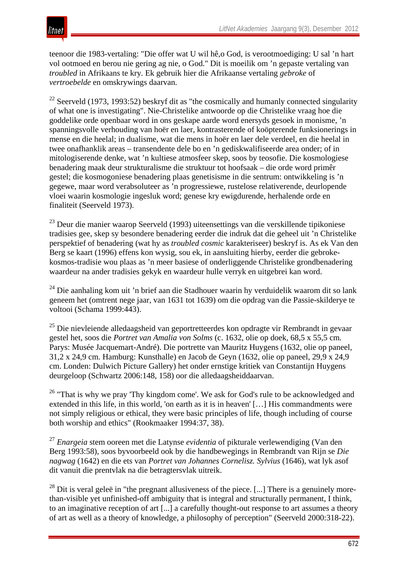# itnet

teenoor die 1983-vertaling: "Die offer wat U wil hê,o God, is verootmoediging: U sal 'n hart vol ootmoed en berou nie gering ag nie, o God." Dit is moeilik om 'n gepaste vertaling van *troubled* in Afrikaans te kry. Ek gebruik hier die Afrikaanse vertaling *gebroke* of *vertroebelde* en omskrywings daarvan.

 $22$  Seerveld (1973, 1993:52) beskryf dit as "the cosmically and humanly connected singularity of what one is investigating". Nie-Christelike antwoorde op die Christelike vraag hoe die goddelike orde openbaar word in ons geskape aarde word enersyds gesoek in monisme, 'n spanningsvolle verhouding van hoër en laer, kontrasterende of koöpterende funksionerings in mense en die heelal; in dualisme, wat die mens in hoër en laer dele verdeel, en die heelal in twee onafhanklik areas – transendente dele bo en 'n gediskwalifiseerde area onder; of in mitologiserende denke, wat 'n kultiese atmosfeer skep, soos by teosofie. Die kosmologiese benadering maak deur strukturalisme die struktuur tot hoofsaak – die orde word primêr gestel; die kosmogoniese benadering plaas genetisisme in die sentrum: ontwikkeling is 'n gegewe, maar word verabsoluteer as 'n progressiewe, rustelose relativerende, deurlopende vloei waarin kosmologie ingesluk word; genese kry ewigdurende, herhalende orde en finaliteit (Seerveld 1973).

<sup>23</sup> Deur die manier waarop Seerveld (1993) uiteensettings van die verskillende tipikoniese tradisies gee, skep sy besondere benadering eerder die indruk dat die geheel uit 'n Christelike perspektief of benadering (wat hy as *troubled cosmic* karakteriseer) beskryf is. As ek Van den Berg se kaart (1996) effens kon wysig, sou ek, in aansluiting hierby, eerder die gebrokekosmos-tradisie wou plaas as 'n meer basiese of onderliggende Christelike grondbenadering waardeur na ander tradisies gekyk en waardeur hulle verryk en uitgebrei kan word.

 $24$  Die aanhaling kom uit 'n brief aan die Stadhouer waarin hy verduidelik waarom dit so lank geneem het (omtrent nege jaar, van 1631 tot 1639) om die opdrag van die Passie-skilderye te voltooi (Schama 1999:443).

<sup>25</sup> Die nievleiende alledaagsheid van geportretteerdes kon opdragte vir Rembrandt in gevaar gestel het, soos die *Portret van Amalia von Solms* (c. 1632, olie op doek, 68,5 x 55,5 cm. Parys: Musée Jacquemart-André). Die portrette van Mauritz Huygens (1632, olie op paneel, 31,2 x 24,9 cm. Hamburg: Kunsthalle) en Jacob de Geyn (1632, olie op paneel, 29,9 x 24,9 cm. Londen: Dulwich Picture Gallery) het onder ernstige kritiek van Constantijn Huygens deurgeloop (Schwartz 2006:148, 158) oor die alledaagsheiddaarvan.

<sup>26</sup> "That is why we pray 'Thy kingdom come'. We ask for God's rule to be acknowledged and extended in this life, in this world, 'on earth as it is in heaven' […] His commandments were not simply religious or ethical, they were basic principles of life, though including of course both worship and ethics" (Rookmaaker 1994:37, 38).

<sup>27</sup> *Enargeia* stem ooreen met die Latynse *evidentia* of pikturale verlewendiging (Van den Berg 1993:58), soos byvoorbeeld ook by die handbewegings in Rembrandt van Rijn se *Die nagwag* (1642) en die ets van *Portret van Johannes Cornelisz. Sylvius* (1646), wat lyk asof dit vanuit die prentvlak na die betragtersvlak uitreik.

 $^{28}$  Dit is veral geleë in "the pregnant allusiveness of the piece. [...] There is a genuinely morethan-visible yet unfinished-off ambiguity that is integral and structurally permanent, I think, to an imaginative reception of art [...] a carefully thought-out response to art assumes a theory of art as well as a theory of knowledge, a philosophy of perception" (Seerveld 2000:318-22).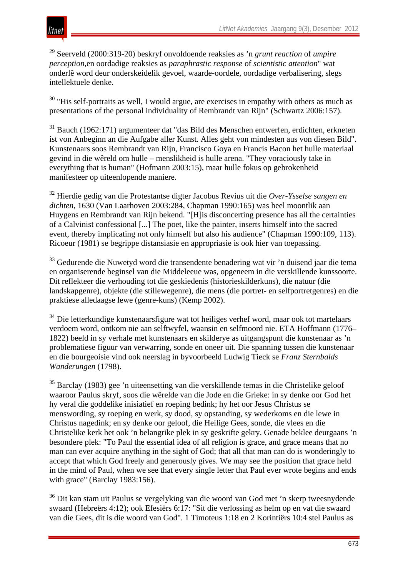<sup>29</sup> Seerveld (2000:319-20) beskryf onvoldoende reaksies as 'n *grunt reaction* of *umpire perception*,en oordadige reaksies as *paraphrastic response* of *scientistic attention*" wat onderlê word deur onderskeidelik gevoel, waarde-oordele, oordadige verbalisering, slegs intellektuele denke.

 $30$  "His self-portraits as well, I would argue, are exercises in empathy with others as much as presentations of the personal individuality of Rembrandt van Rijn" (Schwartz 2006:157).

<sup>31</sup> Bauch (1962:171) argumenteer dat "das Bild des Menschen entwerfen, erdichten, erkneten ist von Anbeginn an die Aufgabe aller Kunst. Alles geht von mindesten aus von diesen Bild". Kunstenaars soos Rembrandt van Rijn, Francisco Goya en Francis Bacon het hulle materiaal gevind in die wêreld om hulle – menslikheid is hulle arena. "They voraciously take in everything that is human" (Hofmann 2003:15), maar hulle fokus op gebrokenheid manifesteer op uiteenlopende maniere.

<sup>32</sup> Hierdie gedig van die Protestantse digter Jacobus Revius uit die *Over-Ysselse sangen en dichten*, 1630 (Van Laarhoven 2003:284, Chapman 1990:165) was heel moontlik aan Huygens en Rembrandt van Rijn bekend. "[H]is disconcerting presence has all the certainties of a Calvinist confessional [...] The poet, like the painter, inserts himself into the sacred event, thereby implicating not only himself but also his audience" (Chapman 1990:109, 113). Ricoeur (1981) se begrippe distansiasie en appropriasie is ook hier van toepassing.

<sup>33</sup> Gedurende die Nuwetyd word die transendente benadering wat vir 'n duisend jaar die tema en organiserende beginsel van die Middeleeue was, opgeneem in die verskillende kunssoorte. Dit reflekteer die verhouding tot die geskiedenis (historieskilderkuns), die natuur (die landskapgenre), objekte (die stillewegenre), die mens (die portret- en selfportretgenres) en die praktiese alledaagse lewe (genre-kuns) (Kemp 2002).

<sup>34</sup> Die letterkundige kunstenaarsfigure wat tot heiliges verhef word, maar ook tot martelaars verdoem word, ontkom nie aan selftwyfel, waansin en selfmoord nie. ETA Hoffmann (1776– 1822) beeld in sy verhale met kunstenaars en skilderye as uitgangspunt die kunstenaar as 'n problematiese figuur van verwarring, sonde en oneer uit. Die spanning tussen die kunstenaar en die bourgeoisie vind ook neerslag in byvoorbeeld Ludwig Tieck se *Franz Sternbalds Wanderungen* (1798).

<sup>35</sup> Barclay (1983) gee 'n uiteensetting van die verskillende temas in die Christelike geloof waaroor Paulus skryf, soos die wêrelde van die Jode en die Grieke: in sy denke oor God het hy veral die goddelike inisiatief en roeping bedink; hy het oor Jesus Christus se menswording, sy roeping en werk, sy dood, sy opstanding, sy wederkoms en die lewe in Christus nagedink; en sy denke oor geloof, die Heilige Gees, sonde, die vlees en die Christelike kerk het ook 'n belangrike plek in sy geskrifte gekry. Genade beklee deurgaans 'n besondere plek: "To Paul the essential idea of all religion is grace, and grace means that no man can ever acquire anything in the sight of God; that all that man can do is wonderingly to accept that which God freely and generously gives. We may see the position that grace held in the mind of Paul, when we see that every single letter that Paul ever wrote begins and ends with grace" (Barclay 1983:156).

<sup>36</sup> Dit kan stam uit Paulus se vergelyking van die woord van God met 'n skerp tweesnydende swaard (Hebreërs 4:12); ook Efesiërs 6:17: "Sit die verlossing as helm op en vat die swaard van die Gees, dit is die woord van God". 1 Timoteus 1:18 en 2 Korintiërs 10:4 stel Paulus as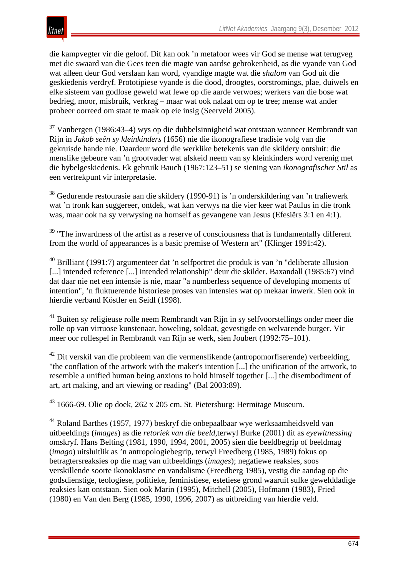die kampvegter vir die geloof. Dit kan ook 'n metafoor wees vir God se mense wat terugveg met die swaard van die Gees teen die magte van aardse gebrokenheid, as die vyande van God wat alleen deur God verslaan kan word, vyandige magte wat die *shalom* van God uit die geskiedenis verdryf. Prototipiese vyande is die dood, droogtes, oorstromings, plae, duiwels en elke sisteem van godlose geweld wat lewe op die aarde verwoes; werkers van die bose wat bedrieg, moor, misbruik, verkrag – maar wat ook nalaat om op te tree; mense wat ander probeer oorreed om staat te maak op eie insig (Seerveld 2005).

<sup>37</sup> Vanbergen (1986:43–4) wys op die dubbelsinnigheid wat ontstaan wanneer Rembrandt van Rijn in *Jakob seën sy kleinkinders* (1656) nie die ikonografiese tradisie volg van die gekruisde hande nie. Daardeur word die werklike betekenis van die skildery ontsluit: die menslike gebeure van 'n grootvader wat afskeid neem van sy kleinkinders word verenig met die bybelgeskiedenis. Ek gebruik Bauch (1967:123–51) se siening van *ikonografischer Stil* as een vertrekpunt vir interpretasie.

<sup>38</sup> Gedurende restourasie aan die skildery (1990-91) is 'n onderskildering van 'n traliewerk wat 'n tronk kan suggereer, ontdek, wat kan verwys na die vier keer wat Paulus in die tronk was, maar ook na sy verwysing na homself as gevangene van Jesus (Efesiërs 3:1 en 4:1).

 $39$  "The inwardness of the artist as a reserve of consciousness that is fundamentally different from the world of appearances is a basic premise of Western art" (Klinger 1991:42).

 $40$  Brilliant (1991:7) argumenteer dat 'n selfportret die produk is van 'n "deliberate allusion [...] intended reference [...] intended relationship" deur die skilder. Baxandall (1985:67) vind dat daar nie net een intensie is nie, maar "a numberless sequence of developing moments of intention", 'n fluktuerende historiese proses van intensies wat op mekaar inwerk. Sien ook in hierdie verband Köstler en Seidl (1998).

<sup>41</sup> Buiten sy religieuse rolle neem Rembrandt van Rijn in sy selfvoorstellings onder meer die rolle op van virtuose kunstenaar, howeling, soldaat, gevestigde en welvarende burger. Vir meer oor rollespel in Rembrandt van Rijn se werk, sien Joubert (1992:75–101).

 $42$  Dit verskil van die probleem van die vermenslikende (antropomorfiserende) verbeelding. "the conflation of the artwork with the maker's intention [...] the unification of the artwork, to resemble a unified human being anxious to hold himself together [...] the disembodiment of art, art making, and art viewing or reading" (Bal 2003:89).

<sup>43</sup> 1666-69. Olie op doek, 262 x 205 cm. St. Pietersburg: Hermitage Museum.

<sup>44</sup> Roland Barthes (1957, 1977) beskryf die onbepaalbaar wye werksaamheidsveld van uitbeeldings (*images*) as die *retoriek van die beeld*,terwyl Burke (2001) dit as *eyewitnessing* omskryf. Hans Belting (1981, 1990, 1994, 2001, 2005) sien die beeldbegrip of beeldmag (*imago*) uitsluitlik as 'n antropologiebegrip, terwyl Freedberg (1985, 1989) fokus op betragtersreaksies op die mag van uitbeeldings (*images*); negatiewe reaksies, soos verskillende soorte ikonoklasme en vandalisme (Freedberg 1985), vestig die aandag op die godsdienstige, teologiese, politieke, feministiese, estetiese grond waaruit sulke gewelddadige reaksies kan ontstaan. Sien ook Marin (1995), Mitchell (2005), Hofmann (1983), Fried (1980) en Van den Berg (1985, 1990, 1996, 2007) as uitbreiding van hierdie veld.